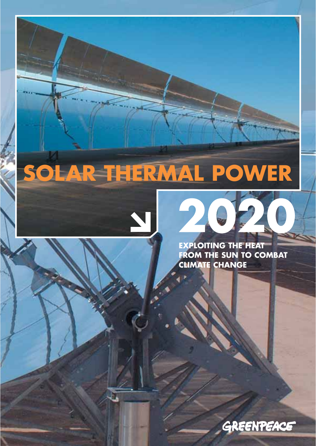## **SOLAR THERMAL POWER**





**EXPLOITING THE HEAT FROM THE SUN TO COMBAT CLIMATE CHANGE**

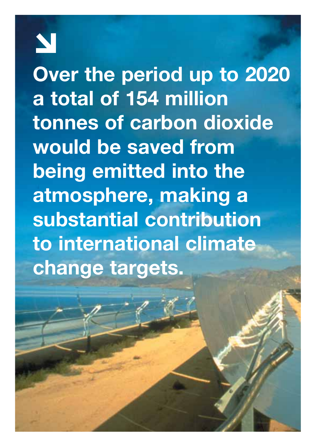**Over the period up to 2020 a total of 154 million tonnes of carbon dioxide would be saved from being emitted into the atmosphere, making a substantial contribution to international climate change targets.**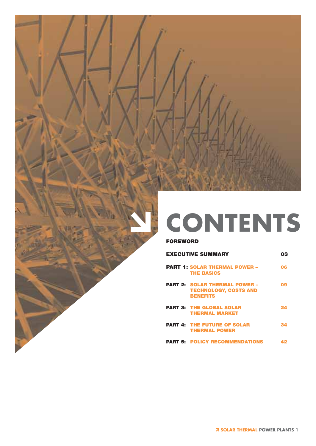

# **CONTENTS**

#### **FOREWORD**

| <b>EXECUTIVE SUMMARY</b>                                                                | nЗ |  |
|-----------------------------------------------------------------------------------------|----|--|
| <b>PART 1: SOLAR THERMAL POWER -</b><br><b>THE BASICS</b>                               | 06 |  |
| <b>PART 2: SOLAR THERMAL POWER -</b><br><b>TECHNOLOGY, COSTS AND</b><br><b>BENEFITS</b> | Ω9 |  |
| <b>PART 3: THE GLOBAL SOLAR</b><br><b>THERMAL MARKET</b>                                | 24 |  |
| <b>PART 4: THE FUTURE OF SOLAR</b><br><b>THERMAL POWER</b>                              | 34 |  |
| <b>PART 5: POLICY RECOMMENDATIONS</b>                                                   |    |  |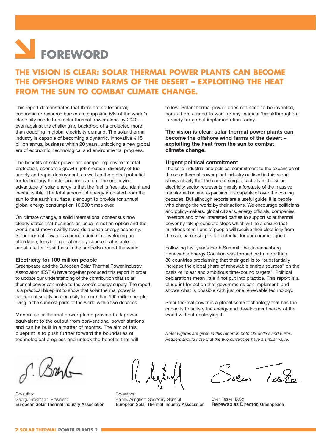## **FOREWORD**

### **THE VISION IS CLEAR: SOLAR THERMAL POWER PLANTS CAN BECOME THE OFFSHORE WIND FARMS OF THE DESERT – EXPLOITING THE HEAT FROM THE SUN TO COMBAT CLIMATE CHANGE.**

This report demonstrates that there are no technical, economic or resource barriers to supplying 5% of the world's electricity needs from solar thermal power alone by 2040 – even against the challenging backdrop of a projected more than doubling in global electricity demand. The solar thermal industry is capable of becoming a dynamic, innovative  $\in$  15 billion annual business within 20 years, unlocking a new global era of economic, technological and environmental progress.

The benefits of solar power are compelling: environmental protection, economic growth, job creation, diversity of fuel supply and rapid deployment, as well as the global potential for technology transfer and innovation. The underlying advantage of solar energy is that the fuel is free, abundant and inexhaustible. The total amount of energy irradiated from the sun to the earth's surface is enough to provide for annual global energy consumption 10,000 times over.

On climate change, a solid international consensus now clearly states that business-as-usual is not an option and the world must move swiftly towards a clean energy economy. Solar thermal power is a prime choice in developing an affordable, feasible, global energy source that is able to substitute for fossil fuels in the sunbelts around the world.

#### **Electricity for 100 million people**

Greenpeace and the European Solar Thermal Power Industry Association (ESTIA) have together produced this report in order to update our understanding of the contribution that solar thermal power can make to the world's energy supply. The report is a practical blueprint to show that solar thermal power is capable of supplying electricity to more than 100 million people living in the sunniest parts of the world within two decades.

Modern solar thermal power plants provide bulk power equivalent to the output from conventional power stations and can be built in a matter of months. The aim of this blueprint is to push further forward the boundaries of technological progress and unlock the benefits that will

follow. Solar thermal power does not need to be invented, nor is there a need to wait for any magical 'breakthrough'; it is ready for global implementation today.

**The vision is clear: solar thermal power plants can become the offshore wind farms of the desert – exploiting the heat from the sun to combat climate change.**

#### **Urgent political commitment**

The solid industrial and political commitment to the expansion of the solar thermal power plant industry outlined in this report shows clearly that the current surge of activity in the solar electricity sector represents merely a foretaste of the massive transformation and expansion it is capable of over the coming decades. But although reports are a useful guide, it is people who change the world by their actions. We encourage politicians and policy-makers, global citizens, energy officials, companies, investors and other interested parties to support solar thermal power by taking concrete steps which will help ensure that hundreds of millions of people will receive their electricity from the sun, harnessing its full potential for our common good.

Following last year's Earth Summit, the Johannesburg Renewable Energy Coalition was formed, with more than 80 countries proclaiming that their goal is to "substantially increase the global share of renewable energy sources" on the basis of "clear and ambitious time-bound targets". Political declarations mean little if not put into practice. This report is a blueprint for action that governments can implement, and shows what is possible with just one renewable technology.

Solar thermal power is a global scale technology that has the capacity to satisfy the energy and development needs of the world without destroying it.

*Note: Figures are given in this report in both US dollars and Euros. Readers should note that the two currencies have a similar value.*

Co-author Georg. Brakmann, President **European Solar Thermal Industry Association**

Co-author Rainer. Aringhoff, Secretary General **European Solar Thermal Industry Association**

Sven Testa

Sven Teske, B.Sc **Renewables Director, Greenpeace**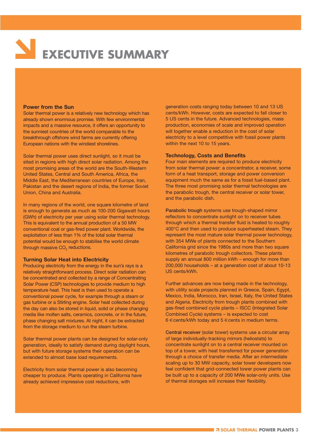# **EXECUTIVE SUMMARY**

#### **Power from the Sun**

Solar thermal power is a relatively new technology which has already shown enormous promise. With few environmental impacts and a massive resource, it offers an opportunity to the sunniest countries of the world comparable to the breakthrough offshore wind farms are currently offering European nations with the windiest shorelines.

Solar thermal power uses direct sunlight, so it must be sited in regions with high direct solar radiation. Among the most promising areas of the world are the South-Western United States, Central and South America, Africa, the Middle East, the Mediterranean countries of Europe, Iran, Pakistan and the desert regions of India, the former Soviet Union, China and Australia.

In many regions of the world, one square kilometre of land is enough to generate as much as 100-200 Gigawatt hours (GWh) of electricity per year using solar thermal technology. This is equivalent to the annual production of a 50 MW conventional coal or gas-fired power plant. Worldwide, the exploitation of less than 1% of the total solar thermal potential would be enough to stabilise the world climate through massive CO<sub>2</sub> reductions.

#### **Turning Solar Heat into Electricity**

Producing electricity from the energy in the sun's rays is a relatively straightforward process. Direct solar radiation can be concentrated and collected by a range of Concentrating Solar Power (CSP) technologies to provide medium to high temperature heat. This heat is then used to operate a conventional power cycle, for example through a steam or gas turbine or a Stirling engine. Solar heat collected during the day can also be stored in liquid, solid or phase changing media like molten salts, ceramics, concrete, or in the future, phase changing salt mixtures. At night, it can be extracted from the storage medium to run the steam turbine.

Solar thermal power plants can be designed for solar-only generation, ideally to satisfy demand during daylight hours, but with future storage systems their operation can be extended to almost base load requirements.

Electricity from solar thermal power is also becoming cheaper to produce. Plants operating in California have already achieved impressive cost reductions, with

generation costs ranging today between 10 and 13 US cents/kWh. However, costs are expected to fall closer to 5 US cents in the future. Advanced technologies, mass production, economies of scale and improved operation will together enable a reduction in the cost of solar electricity to a level competitive with fossil power plants within the next 10 to 15 years.

#### **Technology, Costs and Benefits**

Four main elements are required to produce electricity from solar thermal power: a concentrator, a receiver, some form of a heat transport, storage and power conversion equipment much the same as for a fossil fuel-based plant. The three most promising solar thermal technologies are the parabolic trough, the central receiver or solar tower, and the parabolic dish.

**Parabolic trough** systems use trough-shaped mirror reflectors to concentrate sunlight on to receiver tubes through which a thermal transfer fluid is heated to roughly 400°C and then used to produce superheated steam. They represent the most mature solar thermal power technology, with 354 MWe of plants connected to the Southern California grid since the 1980s and more than two square kilometres of parabolic trough collectors. These plants supply an annual 800 million kWh – enough for more than 200,000 households – at a generation cost of about 10-13 US cents/kWh.

Further advances are now being made in the technology, with utility scale projects planned in Greece, Spain, Egypt, Mexico, India, Morocco, Iran, Israel, Italy, the United States and Algeria. Electricity from trough plants combined with gas-fired combined cycle plants – ISCC (Integrated Solar Combined Cycle) systems – is expected to cost 6 €cents/kWh today and 5 €cents in medium terms.

**Central receiver** (solar tower) systems use a circular array of large individually-tracking mirrors (heliostats) to concentrate sunlight on to a central receiver mounted on top of a tower, with heat transferred for power generation through a choice of transfer media. After an intermediate scaling up to 30 MW capacity, solar tower developers now feel confident that grid-connected tower power plants can be built up to a capacity of 200 MWe solar-only units. Use of thermal storages will increase their flexibility.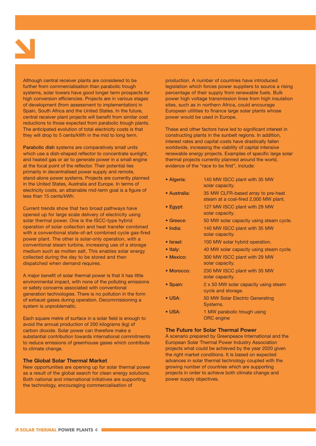Although central receiver plants are considered to be further from commercialisation than parabolic trough systems, solar towers have good longer term prospects for high conversion efficiencies. Projects are in various stages of development (from assessment to implementation) in Spain, South Africa and the United States. In the future, central receiver plant projects will benefit from similar cost reductions to those expected from parabolic trough plants. The anticipated evolution of total electricity costs is that they will drop to 5 cents/kWh in the mid to long term.

**Parabolic dish** systems are comparatively small units which use a dish-shaped reflector to concentrate sunlight, and heated gas or air to generate power in a small engine at the focal point of the reflector. Their potential lies primarily in decentralised power supply and remote, stand-alone power systems. Projects are currently planned in the United States, Australia and Europe. In terms of electricity costs, an attainable mid-term goal is a figure of less than 15 cents/kWh.

Current trends show that two broad pathways have opened up for large scale delivery of electricity using solar thermal power. One is the ISCC-type hybrid operation of solar collection and heat transfer combined with a conventional state-of-art combined cycle gas-fired power plant. The other is solar-only operation, with a conventional steam turbine, increasing use of a storage medium such as molten salt. This enables solar energy collected during the day to be stored and then dispatched when demand requires.

A major benefit of solar thermal power is that it has little environmental impact, with none of the polluting emissions or safety concerns associated with conventional generation technologies. There is no pollution in the form of exhaust gases during operation. Decommissioning a system is unproblematic.

Each square metre of surface in a solar field is enough to avoid the annual production of 200 kilograms (kg) of carbon dioxide. Solar power can therefore make a substantial contribution towards international commitments to reduce emissions of greenhouse gases which contribute to climate change.

#### **The Global Solar Thermal Market**

New opportunities are opening up for solar thermal power as a result of the global search for clean energy solutions. Both national and international initiatives are supporting the technology, encouraging commercialisation of

production. A number of countries have introduced legislation which forces power suppliers to source a rising percentage of their supply from renewable fuels. Bulk power high voltage transmission lines from high insulation sites, such as in northern Africa, could encourage European utilities to finance large solar plants whose power would be used in Europe.

These and other factors have led to significant interest in constructing plants in the sunbelt regions. In addition, interest rates and capital costs have drastically fallen worldwide, increasing the viability of capital intensive renewable energy projects. Examples of specific large solar thermal projects currently planned around the world, evidence of the "race to be first", include:

- **Algeria**: 140 MW ISCC plant with 35 MW solar capacity.
- **Australia**: 35 MW CLFR-based array to pre-heat steam at a coal-fired 2,000 MW plant.
- **Egypt**: 127 MW ISCC plant with 29 MW solar capacity.
- **Greece**: 50 MW solar capacity using steam cycle.
- **India**: 140 MW ISCC plant with 35 MW solar capacity.
- **Israel**: 100 MW solar hybrid operation.
- Italy: 40 MW solar capacity using steam cycle.
- **Mexico**: 300 MW ISCC plant with 29 MW solar capacity.
- **Morocco**: 230 MW ISCC plant with 35 MW solar capacity.
- **Spain**: 2 x 50 MW solar capacity using steam cycle and storage.
- **USA**: 50 MW Solar Electric Generating Systems.
- USA: 1 MW parabolic trough using ORC engine

#### **The Future for Solar Thermal Power**

A scenario prepared by Greenpeace International and the European Solar Thermal Power Industry Association projects what could be achieved by the year 2020 given the right market conditions. It is based on expected advances in solar thermal technology coupled with the growing number of countries which are supporting projects in order to achieve both climate change and power supply objectives.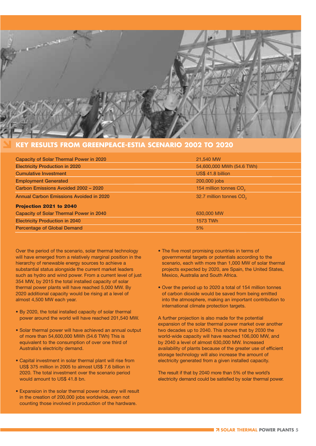

#### **KEY RESULTS FROM GREENPEACE-ESTIA SCENARIO 2002 TO 2020**

| <b>Capacity of Solar Thermal Power in 2020</b> | 21,540 MW                           |
|------------------------------------------------|-------------------------------------|
| <b>Electricity Production in 2020</b>          | 54,600,000 MWh (54.6 TWh)           |
| <b>Cumulative Investment</b>                   | US\$ 41.8 billion                   |
| <b>Employment Generated</b>                    | 200,000 jobs                        |
| Carbon Emissions Avoided 2002 - 2020           | 154 million tonnes CO <sub>2</sub>  |
| <b>Annual Carbon Emissions Avoided in 2020</b> | 32.7 million tonnes CO <sub>2</sub> |
| Projection 2021 to 2040                        |                                     |
| <b>Capacity of Solar Thermal Power in 2040</b> | 630,000 MW                          |
| <b>Electricity Production in 2040</b>          | 1573 TWh                            |
| <b>Percentage of Global Demand</b>             | 5%                                  |

Over the period of the scenario, solar thermal technology will have emerged from a relatively marginal position in the hierarchy of renewable energy sources to achieve a substantial status alongside the current market leaders such as hydro and wind power. From a current level of just 354 MW, by 2015 the total installed capacity of solar thermal power plants will have reached 5,000 MW. By 2020 additional capacity would be rising at a level of almost 4,500 MW each year.

- By 2020, the total installed capacity of solar thermal power around the world will have reached 201,540 MW.
- Solar thermal power will have achieved an annual output of more than 54,600,000 MWh (54.6 TWh) This is equivalent to the consumption of over one third of Australia's electricity demand.
- Capital investment in solar thermal plant will rise from US\$ 375 million in 2005 to almost US\$ 7.6 billion in 2020. The total investment over the scenario period would amount to US\$ 41.8 bn.
- Expansion in the solar thermal power industry will result in the creation of 200,000 jobs worldwide, even not counting those involved in production of the hardware.
- The five most promising countries in terms of governmental targets or potentials according to the scenario, each with more than 1,000 MW of solar thermal projects expected by 2020, are Spain, the United States, Mexico, Australia and South Africa.
- Over the period up to 2020 a total of 154 million tonnes of carbon dioxide would be saved from being emitted into the atmosphere, making an important contribution to international climate protection targets.

A further projection is also made for the potential expansion of the solar thermal power market over another two decades up to 2040. This shows that by 2030 the world-wide capacity will have reached 106,000 MW, and by 2040 a level of almost 630,000 MW. Increased availability of plants because of the greater use of efficient storage technology will also increase the amount of electricity generated from a given installed capacity.

The result if that by 2040 more than 5% of the world's electricity demand could be satisfied by solar thermal power.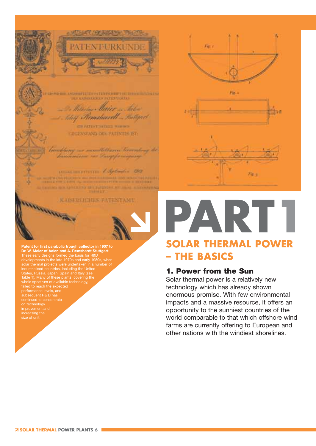

SCORETE TO ANTENHOLIST OF DESIGN BASINESS **BEF EMPERIES PERSONAL** 

William Miller John Remsharett Motopert

**CIRATEST HITGH NORDES** GRGENSTAND DES PATENTES EST:

not being our monditionen beaumony the bandinism on Pampforniquing

commencement toplands 1912 de che più soldi e con el france con estableci in parte THE R. P. LEWIS CO., LANSING, MICH. 49-14039-1-120-2 **TENTO LIT** 

KAISERLICHES FATENTAMT **SALARANTA CARDS** 

**Patent for first parabolic trough collector in 1907 to Dr. W. Maier of Aalen and A. Remshardt Stuttgart.** These early designs formed the basis for R&D developments in the late 1970s and early 1980s, when solar thermal projects were undertaken in a number of industrialised countries, including the United States, Russia, Japan, Spain and Italy (see Table 1). Many of these plants, covering the whole spectrum of available technology, failed to reach the expected performance levels, and subsequent R& D has on technology improvement and increasing the







### AR. P **SOLAR THERMAL POWER – THE BASICS**

#### **1. Power from the Sun**

Solar thermal power is a relatively new technology which has already shown enormous promise. With few environmental impacts and a massive resource, it offers an opportunity to the sunniest countries of the world comparable to that which offshore wind farms are currently offering to European and other nations with the windiest shorelines.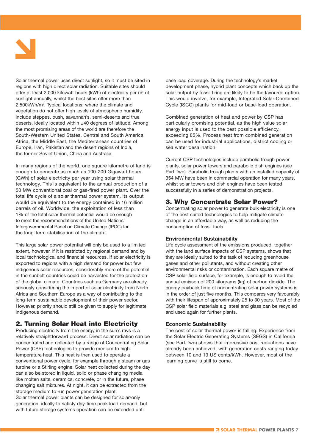

Solar thermal power uses direct sunlight, so it must be sited in regions with high direct solar radiation. Suitable sites should offer at least 2,000 kilowatt hours (kWh) of electricity per m<sup>2</sup> of sunlight annually, whilst the best sites offer more than 2,500kWh/m2. Typical locations, where the climate and vegetation do not offer high levels of atmospheric humidity, include steppes, bush, savannah's, semi-deserts and true deserts, ideally located within ±40 degrees of latitude. Among the most promising areas of the world are therefore the South-Western United States, Central and South America, Africa, the Middle East, the Mediterranean countries of Europe, Iran, Pakistan and the desert regions of India, the former Soviet Union, China and Australia.

In many regions of the world, one square kilometre of land is enough to generate as much as 100-200 Gigawatt hours (GWh) of solar electricity per year using solar thermal technology. This is equivalent to the annual production of a 50 MW conventional coal or gas-fired power plant. Over the total life cycle of a solar thermal power system, its output would be equivalent to the energy contained in 16 million barrels of oil. Worldwide, the exploitation of less than 1% of the total solar thermal potential would be enough to meet the recommendations of the United Nations' Intergovernmental Panel on Climate Change (IPCC) for the long-term stabilisation of the climate.

This large solar power potential will only be used to a limited extent, however, if it is restricted by regional demand and by local technological and financial resources. If solar electricity is exported to regions with a high demand for power but few indigenous solar resources, considerably more of the potential in the sunbelt countries could be harvested for the protection of the global climate. Countries such as Germany are already seriously considering the import of solar electricity from North Africa and Southern Europe as a way of contributing to the long-term sustainable development of their power sector. However, priority should still be given to supply for legitimate indigenous demand.

#### **2. Turning Solar Heat into Electricity**

Producing electricity from the energy in the sun's rays is a relatively straightforward process. Direct solar radiation can be concentrated and collected by a range of Concentrating Solar Power (CSP) technologies to provide medium to high temperature heat. This heat is then used to operate a conventional power cycle, for example through a steam or gas turbine or a Stirling engine. Solar heat collected during the day can also be stored in liquid, solid or phase changing media like molten salts, ceramics, concrete, or in the future, phase changing salt mixtures. At night, it can be extracted from the storage medium to run power generation plant. Solar thermal power plants can be designed for solar-only

generation, ideally to satisfy day-time peak load demand, but with future storage systems operation can be extended until

base load coverage. During the technology's market development phase, hybrid plant concepts which back up the solar output by fossil firing are likely to be the favoured option. This would involve, for example, Integrated Solar-Combined Cycle (ISCC) plants for mid-load or base-load operation.

Combined generation of heat and power by CSP has particularly promising potential, as the high value solar energy input is used to the best possible efficiency, exceeding 85%. Process heat from combined generation can be used for industrial applications, district cooling or sea water desalination.

Current CSP technologies include parabolic trough power plants, solar power towers and parabolic dish engines (see Part Two). Parabolic trough plants with an installed capacity of 354 MW have been in commercial operation for many years, whilst solar towers and dish engines have been tested successfully in a series of demonstration projects.

#### **3. Why Concentrate Solar Power?**

Concentrating solar power to generate bulk electricity is one of the best suited technologies to help mitigate climate change in an affordable way, as well as reducing the consumption of fossil fuels.

#### **Environmental Sustainability**

Life cycle assessment of the emissions produced, together with the land surface impacts of CSP systems, shows that they are ideally suited to the task of reducing greenhouse gases and other pollutants, and without creating other environmental risks or contamination. Each square metre of CSP solar field surface, for example, is enough to avoid the annual emisson of 200 kilograms (kg) of carbon dioxide. The energy payback time of concentrating solar power systems is in the order of just five months. This compares very favourably with their lifespan of approximately 25 to 30 years. Most of the CSP solar field materials e.g. steel and glass can be recycled and used again for further plants.

#### **Economic Sustainability**

The cost of solar thermal power is falling. Experience from the Solar Electric Generating Systems (SEGS) in California (see Part Two) shows that impressive cost reductions have already been achieved, with generation costs ranging today between 10 and 13 US cents/kWh. However, most of the learning curve is still to come.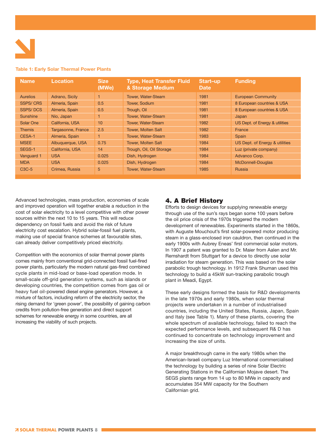

#### **Table 1: Early Solar Thermal Power Plants**

| <b>Name</b>        | Location           | <b>Size</b><br>(MWe) | <b>Type, Heat Transfer Fluid</b><br>& Storage Medium | Start-up<br><b>Date</b> | <b>Funding</b>                 |
|--------------------|--------------------|----------------------|------------------------------------------------------|-------------------------|--------------------------------|
| <b>Aurelios</b>    | Adrano, Sicily     |                      | <b>Tower, Water-Steam</b>                            | 1981                    | <b>European Community</b>      |
| <b>SSPS/CRS</b>    | Almeria, Spain     | 0.5                  | <b>Tower, Sodium</b>                                 | 1981                    | 8 European countries & USA     |
| <b>SSPS/DCS</b>    | Almeria, Spain     | 0.5                  | Trough, Oil                                          | 1981                    | 8 European countries & USA     |
| <b>Sunshine</b>    | Nio, Japan         |                      | <b>Tower, Water-Steam</b>                            | 1981                    | Japan                          |
| Solar One          | California, USA    | 10                   | <b>Tower, Water-Steam</b>                            | 1982                    | US Dept. of Energy & utilities |
| <b>Themis</b>      | Targasonne, France | 2.5                  | <b>Tower. Molten Salt</b>                            | 1982                    | France                         |
| CESA-1             | Almeria, Spain     |                      | <b>Tower, Water-Steam</b>                            | 1983                    | Spain                          |
| <b>MSEE</b>        | Albuquerque, USA   | 0.75                 | <b>Tower. Molten Salt</b>                            | 1984                    | US Dept. of Energy & utilities |
| SEGS-1             | California, USA    | 14                   | Trough, Oil, Oil Storage                             | 1984                    | Luz (private company)          |
| Vanguard 1         | <b>USA</b>         | 0.025                | Dish, Hydrogen                                       | 1984                    | Advanco Corp.                  |
| <b>MDA</b>         | <b>USA</b>         | 0.025                | Dish, Hydrogen                                       | 1984                    | McDonnell-Douglas              |
| C <sub>3</sub> C-5 | Crimea, Russia     | 5                    | <b>Tower. Water-Steam</b>                            | 1985                    | Russia                         |

Advanced technologies, mass production, economies of scale and improved operation will together enable a reduction in the cost of solar electricity to a level competitive with other power sources within the next 10 to 15 years. This will reduce dependency on fossil fuels and avoid the risk of future electricity cost escalation. Hybrid solar-fossil fuel plants, making use of special finance schemes at favourable sites, can already deliver competitively priced electricity.

Competition with the economics of solar thermal power plants comes mainly from conventional grid-connected fossil fuel-fired power plants, particularly the modern natural gas-fired combined cycle plants in mid-load or base-load operation mode. In small-scale off-grid generation systems, such as islands or developing countries, the competition comes from gas oil or heavy fuel oil-powered diesel engine generators. However, a mixture of factors, including reform of the electricity sector, the rising demand for 'green power', the possibility of gaining carbon credits from pollution-free generation and direct support schemes for renewable energy in some countries, are all increasing the viability of such projects.

#### **4. A Brief History**

Efforts to design devices for supplying renewable energy through use of the sun's rays began some 100 years before the oil price crisis of the 1970s triggered the modern development of renewables. Experiments started in the 1860s, with Auguste Mouchout's first solar-powered motor producing steam in a glass-enclosed iron cauldron, then continued in the early 1900s with Aubrey Eneas' first commercial solar motors. In 1907 a patent was granted to Dr. Maier from Aalen and Mr. Remshardt from Stuttgart for a device to directly use solar irradiation for steam generation. This was based on the solar parabolic trough technology. In 1912 Frank Shuman used this technology to build a 45kW sun-tracking parabolic trough plant in Meadi, Egypt.

These early designs formed the basis for R&D developments in the late 1970s and early 1980s, when solar thermal projects were undertaken in a number of industrialised countries, including the United States, Russia, Japan, Spain and Italy (see Table 1). Many of these plants, covering the whole spectrum of available technology, failed to reach the expected performance levels, and subsequent R& D has continued to concentrate on technology improvement and increasing the size of units.

A major breakthrough came in the early 1980s when the American-Israeli company Luz International commercialised the technology by building a series of nine Solar Electric Generating Stations in the Californian Mojave desert. The SEGS plants range from 14 up to 80 MWe in capacity and accumulates 354 MW capacity for the Southern Californian grid.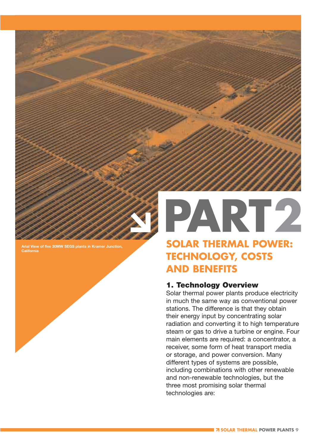

**Arial View of five 30MW SEGS plants in Kramer Junction, California**

# PART2 **SOLAR THERMAL POWER:**

### **TECHNOLOGY, COSTS AND BENEFITS**

#### **1. Technology Overview**

Solar thermal power plants produce electricity in much the same way as conventional power stations. The difference is that they obtain their energy input by concentrating solar radiation and converting it to high temperature steam or gas to drive a turbine or engine. Four main elements are required: a concentrator, a receiver, some form of heat transport media or storage, and power conversion. Many different types of systems are possible, including combinations with other renewable and non-renewable technologies, but the three most promising solar thermal technologies are: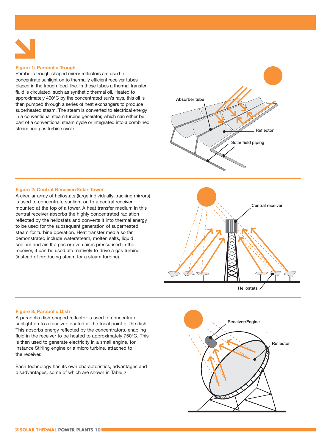

#### **Figure 1: Parabolic Trough**

Parabolic trough-shaped mirror reflectors are used to concentrate sunlight on to thermally efficient receiver tubes placed in the trough focal line. In these tubes a thermal transfer fluid is circulated, such as synthetic thermal oil. Heated to approximately 400°C by the concentrated sun's rays, this oil is then pumped through a series of heat exchangers to produce superheated steam. The steam is converted to electrical energy in a conventional steam turbine generator, which can either be part of a conventional steam cycle or integrated into a combined steam and gas turbine cycle.



#### **Figure 2: Central Receiver/Solar Tower**

A circular array of heliostats (large individually-tracking mirrors) is used to concentrate sunlight on to a central receiver mounted at the top of a tower. A heat transfer medium in this central receiver absorbs the highly concentrated radiation reflected by the heliostats and converts it into thermal energy to be used for the subsequent generation of superheated steam for turbine operation. Heat transfer media so far demonstrated include water/steam, molten salts, liquid sodium and air. If a gas or even air is pressurised in the receiver, it can be used alternatively to drive a gas turbine (instead of producing steam for a steam turbine).





#### **Figure 3: Parabolic Dish**

A parabolic dish-shaped reflector is used to concentrate sunlight on to a receiver located at the focal point of the dish. This absorbs energy reflected by the concentrators, enabling fluid in the receiver to be heated to approximately 750°C. This is then used to generate electricity in a small engine, for instance Stirling engine or a micro turbine, attached to the receiver.

Each technology has its own characteristics, advantages and disadvantages, some of which are shown in Table 2.

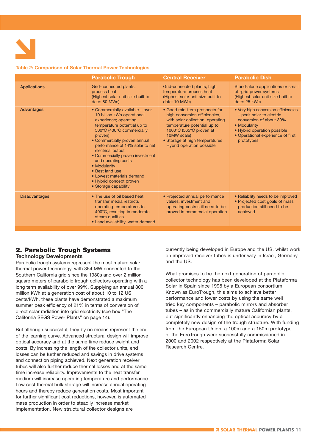

#### **Table 2: Comparison of Solar Thermal Power Technologies**

|                      | <b>Parabolic Trough</b>                                                                                                                                                                                                                                                                                                                                                                                                             | <b>Central Receiver</b>                                                                                                                                                                                                                    | <b>Parabolic Dish</b>                                                                                                                                                                        |
|----------------------|-------------------------------------------------------------------------------------------------------------------------------------------------------------------------------------------------------------------------------------------------------------------------------------------------------------------------------------------------------------------------------------------------------------------------------------|--------------------------------------------------------------------------------------------------------------------------------------------------------------------------------------------------------------------------------------------|----------------------------------------------------------------------------------------------------------------------------------------------------------------------------------------------|
| <b>Applications</b>  | Grid-connected plants,<br>process heat<br>(Highest solar unit size built to<br>date: 80 MWe)                                                                                                                                                                                                                                                                                                                                        | Grid-connected plants, high<br>temperature process heat<br>(Highest solar unit size built to<br>date: 10 MWe)                                                                                                                              | Stand-alone applications or small<br>off-grid power systems<br>(Highest solar unit size built to<br>date: 25 kWe)                                                                            |
| <b>Advantages</b>    | • Commercially available – over<br>10 billion kWh operational<br>experience; operating<br>temperature potential up to<br>500°C (400°C commercially<br>proven)<br>• Commercially proven annual<br>performance of 14% solar to net<br>electrical output<br>• Commercially proven investment<br>and operating costs<br>• Modularity<br>• Best land use<br>• Lowest materials demand<br>• Hybrid concept proven<br>• Storage capability | • Good mid-term prospects for<br>high conversion efficiencies,<br>with solar collection; operating<br>temperature potential up to<br>1000°C (565°C proven at<br>10MW scale)<br>• Storage at high temperatures<br>Hybrid operation possible | • Very high conversion efficiencies<br>- peak solar to electric<br>conversion of about 30%<br>• Modularity<br>• Hybrid operation possible<br>• Operational experience of first<br>prototypes |
| <b>Disadvantages</b> | • The use of oil based heat<br>transfer media restricts<br>operating temperatures to<br>400°C, resulting in moderate<br>steam qualities<br>• Land availability, water demand                                                                                                                                                                                                                                                        | • Projected annual performance<br>values, investment and<br>operating costs still need to be<br>proved in commercial operation                                                                                                             | • Reliability needs to be improved<br>• Projected cost goals of mass<br>production still need to be<br>achieved                                                                              |

#### **2. Parabolic Trough Systems**

#### **Technology Developments**

Parabolic trough systems represent the most mature solar thermal power technology, with 354 MW connected to the Southern California grid since the 1980s and over 2 million square meters of parabolic trough collectors operating with a long term availability of over 99%. Supplying an annual 800 million kWh at a generation cost of about 10 to 12 US cents/kWh, these plants have demonstrated a maximum summer peak efficiency of 21% in terms of conversion of direct solar radiation into grid electricity (see box "The California SEGS Power Plants" on page 14).

But although successful, they by no means represent the end of the learning curve. Advanced structural design will improve optical accuracy and at the same time reduce weight and costs. By increasing the length of the collector units, end losses can be further reduced and savings in drive systems and connection piping achieved. Next generation receiver tubes will also further reduce thermal losses and at the same time increase reliability. Improvements to the heat transfer medium will increase operating temperature and performance. Low cost thermal bulk storage will increase annual operating hours and thereby reduce generation costs. Most important for further significant cost reductions, however, is automated mass production in order to steadily increase market implementation. New structural collector designs are

currently being developed in Europe and the US, whilst work on improved receiver tubes is under way in Israel, Germany and the US.

What promises to be the next generation of parabolic collector technology has been developed at the Plataforma Solar in Spain since 1998 by a European consortium. Known as EuroTrough, this aims to achieve better performance and lower costs by using the same well tried key components – parabolic mirrors and absorber tubes – as in the commercially mature Californian plants, but significantly enhancing the optical accuracy by a completely new design of the trough structure. With funding from the European Union, a 100m and a 150m prototype of the EuroTrough were successfully commissioned in 2000 and 2002 respectively at the Plataforma Solar Research Centre.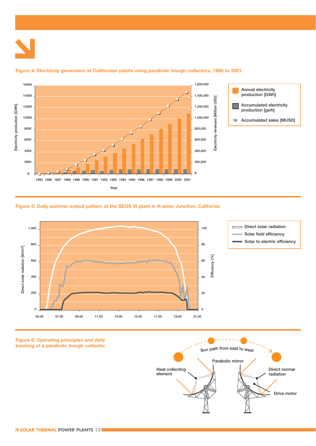

#### **Figure 4: Electricity generation at Californian plants using parabolic trough collectors, 1985 to 2001**







**Drive motor**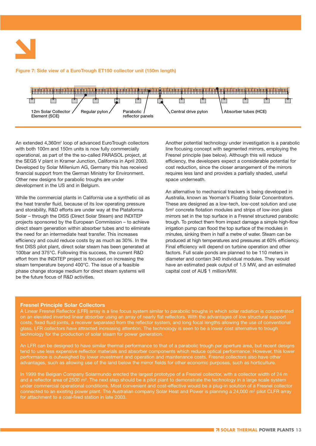#### **Figure 7: Side view of a EuroTrough ET150 collector unit (150m length)**



An extended 4,360m<sup>2</sup> loop of advanced EuroTrough collectors with both 100m and 150m units is now fully commercially operational, as part of the the so-called PARASOL project, at the SEGS V plant in Kramer Junction, California in April 2003. Developed by Solar Millenium AG, Germany this has received financial support from the German Ministry for Environment. Other new designs for parabolic troughs are under development in the US and in Belgium.

While the commercial plants in California use a synthetic oil as the heat transfer fluid, because of its low operating pressure and storability, R&D efforts are under way at the Plataforma Solar – through the DISS (Direct Solar Steam) and INDITEP projects sponsored by the European Commission – to achieve direct steam generation within absorber tubes and to eliminate the need for an intermediate heat transfer. This increases efficiency and could reduce costs by as much as 30%. In the first DISS pilot plant, direct solar steam has been generated at 100bar and 375°C. Following this success, the current R&D effort from the INDITEP project is focused on increasing the steam temperature beyond 400°C. The issue of a feasible phase change storage medium for direct steam systems will be the future focus of R&D activities.

Another potential technology under investigation is a parabolic line focusing concept with segmented mirrors, employing the Fresnel principle (see below). Although this will reduce efficiency, the developers expect a considerable potential for cost reduction, since the closer arrangement of the mirrors requires less land and provides a partially shaded, useful space underneath.

An alternative to mechanical trackers is being developed in Australia, known as Yeoman's Floating Solar Concentrators. These are designed as a low-tech, low-cost solution and use 5m2 concrete flotation modules and strips of low-iron glass mirrors set in the top surface in a Fresnel structured parabolic trough. To protect them from impact damage a simple high-flow irrigation pump can flood the top surface of the modules in minutes, sinking them in half a metre of water. Steam can be produced at high temperatures and pressures at 60% efficiency. Final efficiency will depend on turbine operation and other factors. Full scale ponds are planned to be 110 meters in diameter and contain 340 individual modules. They would have an estimated peak output of 1.5 MW, and an estimated capital cost of AU\$ 1 million/MW.

#### **Fresnel Principle Solar Collectors**

A Linear Fresnel Reflector (LFR) array is a line focus system similar to parabolic troughs in which solar radiation is concentrated on an elevated inverted linear absorber using an array of nearly flat reflectors. With the advantages of low structural support costs, fixed fluid joints, a receiver separated from the reflector system, and long focal lengths allowing the use of conventional glass, LFR collectors have attracted increasing attention. The technology is seen to be a lower cost alternative to trough technology for the production of solar steam for power generation.

An LFR can be designed to have similar thermal performance to that of a parabolic trough per aperture area, but recent designs tend to use less expensive reflector materials and absorber components which reduce optical performance. However, this lower performance is outweighed by lower investment and operation and maintenance costs. Fresnel collectors also have other advantages, such as allowing use of the land below the mirror fields for other economic purposes, such as horticulture.

In 1999 the Belgian Company Solarmundo erected the largest prototype of a Fresnel collector, with a collector width of 24 m and a reflector area of 2500 m<sup>2</sup>. The next step should be a pilot plant to demonstrate the technology in a large scale system under commercial operational conditions. Most convenient and cost-effective would be a plug-in solution of a Fresnel collector connected to an existing power plant. The Australian company Solar Heat and Power is planning a 24,000 m<sup>2</sup> pilot CLFR array for attachment to a coal-fired station in late 2003.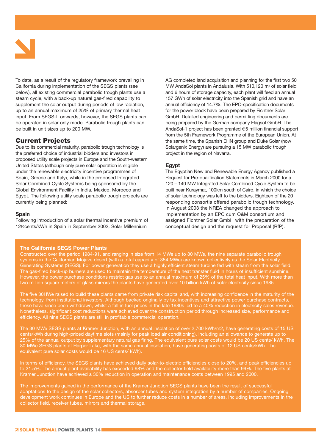

To date, as a result of the regulatory framework prevailing in California during implementation of the SEGS plants (see below), all existing commercial parabolic trough plants use a steam cycle, with a back-up natural gas-fired capability to supplement the solar output during periods of low radiation, up to an annual maximum of 25% of primary thermal heat input. From SEGS-II onwards, however, the SEGS plants can be operated in solar only mode. Parabolic trough plants can be built in unit sizes up to 200 MW.

#### **Current Projects**

Due to its commercial maturity, parabolic trough technology is the preferred choice of industrial bidders and investors in proposed utility scale projects in Europe and the South-western United States (although only pure solar operation is eligible under the renewable electricity incentive programmes of Spain, Greece and Italy), while in the proposed Integrated Solar Combined Cycle Systems being sponsored by the Global Environment Facility in India, Mexico, Morocco and Egypt. The following utility scale parabolic trough projects are currently being planned:

#### **Spain**

Following introduction of a solar thermal incentive premium of 12€cents/kWh in Spain in September 2002, Solar Millennium

AG completed land acquisition and planning for the first two 50 MW AndaSol plants in Andalusia. With 510,120 m<sup>2</sup> of solar field and 6 hours of storage capacity, each plant will feed an annual 157 GWh of solar electricity into the Spanish grid and have an annual efficiency of 14.7%. The EPC-specification documents for the power block have been prepared by Fichtner Solar GmbH. Detailed engineering and permitting documents are being prepared by the German company Flagsol GmbH. The AndaSol-1 project has been granted €5 million financial support from the 5th Framework Programme of the European Union. At the same time, the Spanish EHN group and Duke Solar (now Solargenix Energy) are pursuing a 15 MW parabolic trough project in the region of Navarra.

#### **Egypt**

The Egyptian New and Renewable Energy Agency published a Request for Pre-qualification Statements in March 2000 for a 120 – 140 MW Integrated Solar Combined Cycle System to be built near Kuraymat, 100km south of Cairo, in which the choice of solar technology was left to the bidders. Eighteen of the 20 responding consortia offered parabolic trough technology. In August 2003 the NREA changed the approach to implementation by an EPC cum O&M consortium and assigned Fichtner Solar GmbH with the preparation of the conceptual design and the request for Proposal (RfP).

#### **The California SEGS Power Plants**

Constructed over the period 1984-91, and ranging in size from 14 MWe up to 80 MWe, the nine separate parabolic trough systems in the Californian Mojave desert (with a total capacity of 354 MWe) are known collectively as the Solar Electricity Generating Systems (SEGS). For power generation they use a highly efficient steam turbine fed with steam from the solar field. The gas-fired back-up burners are used to maintain the temperature of the heat transfer fluid in hours of insufficient sunshine. However, the power purchase conditions restrict gas use to an annual maximum of 25% of the total heat input. With more than two million square meters of glass mirrors the plants have generated over 10 billion kWh of solar electricity since 1985.

The five 30HWe raised to build these plants came from private risk capital and, with increasing confidence in the maturity of the technology, from institutional investors. Although backed originally by tax incentives and attractive power purchase contracts, these have since been withdrawn, whilst a fall in fuel prices in the late 1980s led to a 40% reduction in electricity sales revenue. Nonetheless, significant cost reductions were achieved over the construction period through increased size, performance and efficiency. All nine SEGS plants are still in profitable commercial operation.

The 30 MWe SEGS plants at Kramer Junction, with an annual insolation of over 2,700 kWh/m2, have generating costs of 15 US cents/kWh during high-priced daytime slots (mainly for peak load air conditioning), including an allowance to generate up to 25% of the annual output by supplementary natural gas firing. The equivalent pure solar costs would be 20 US cents/ kWh. The 80 MWe SEGS plants at Harper Lake, with the same annual insolation, have generating costs of 12 US cents/kWh. The equivalent pure solar costs would be 16 US cents/ kWh).

In terms of efficiency, the SEGS plants have achieved daily solar-to-electric efficiencies close to 20%, and peak efficiencies up to 21.5%. The annual plant availability has exceeded 98% and the collector field availability more than 99%. The five plants at Kramer Junction have achieved a 30% reduction in operation and maintenance costs between 1995 and 2000.

The improvements gained in the performance of the Kramer Junction SEGS plants have been the result of successful adaptations to the design of the solar collectors, absorber tubes and system integration by a number of companies. Ongoing development work continues in Europe and the US to further reduce costs in a number of areas, including improvements in the collector field, receiver tubes, mirrors and thermal storage.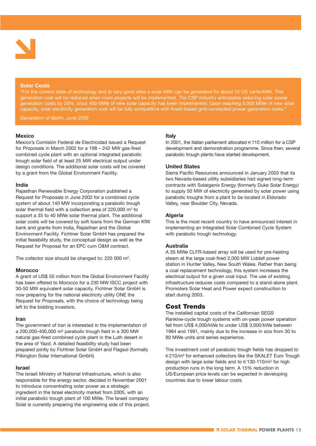

#### **Solar Costs**

"For the current state of technology and at very good sites a solar kWh can be generated for about 15 US cents/kWh. This generation cost will be reduced when more projects will be implemented. The CSP industry anticipates reducing solar power generation costs by 20%, once 400 MWe of new solar capacity has been implemented. Upon reaching 5,000 MWe of new solar capacity, solar electricity generation cost will be fully competitive with fossil-based grid-connected power generation costs."

*Declaration of Berlin, June 2002*

#### **Mexico**

Mexico's Comisión Federal de Electricidad issued a Request for Proposals in March 2002 for a 198 – 242 MW gas-fired combined cycle plant with an optional integrated parabolic trough solar field of at least 25 MW electrical output under design conditions. The additional solar costs will be covered by a grant from the Global Environment Facility.

#### **India**

Rajasthan Renewable Energy Corporation published a Request for Proposals in June 2002 for a combined cycle system of about 140 MW incorporating a parabolic trough solar thermal field with a collection area of  $220,000$  m<sup>2</sup> to support a 35 to 40 MWe solar thermal plant. The additional solar costs will be covered by soft loans from the German KfW bank and grants from India, Rajasthan and the Global Environment Facility. Fichtner Solar GmbH has prepared the initial feasibility study, the conceptual design as well as the Request for Proposal for an EPC cum O&M contract.

The collector size should be changed to: 220 000 m2.

#### **Morocco**

A grant of US\$ 50 million from the Global Environment Facility has been offered to Morocco for a 230 MW ISCC project with 30-50 MW equivalent solar capacity. Fichtner Solar GmbH is now preparing for the national electricity utility ONE the Request for Proposals, with the choice of technology being left to the bidding investors.

#### **Iran**

The government of Iran is interested in the implementation of a 200,000-400,000 m2 parabolic trough field in a 300 MW natural gas-fired combined cycle plant in the Luth desert in the area of Yazd. A detailed feasibility study had been prepared jointly by Fichtner Solar GmbH and Flagsol (formally Pilkington Solar International GmbH).

#### **Israel**

The Israeli Ministry of National Infrastructure, which is also responsible for the energy sector, decided in November 2001 to introduce concentrating solar power as a strategic ingredient in the Israel electricity market from 2005, with an initial parabolic trough plant of 100 MWe. The Israeli company Solel is currently preparing the engineering side of this project.

#### **Italy**

In 2001, the Italian parliament allocated  $\in$  110 million for a CSP development and demonstration programme. Since then, several parabolic trough plants have started development.

#### **United States**

Sierra Pacific Resources announced in January 2003 that its two Nevada-based utility subsidiaries had signed long-term contracts with Solargenix Energy (formerly Duke Solar Energy) to supply 50 MW of electricity generated by solar power using parabolic troughs from a plant to be located in Eldorado Valley, near Boulder City, Nevada.

#### **Algeria**

This is the most recent country to have announced interest in implementing an Integrated Solar Combined Cycle System with parabolic trough technology.

#### **Australia**

A 35 MWe CLFR-based array will be used for pre-heating steam at the large coal-fired 2,000 MW Liddell power station in Hunter Valley, New South Wales. Rather than being a coal replacement technology, this system increases the electrical output for a given coal input. The use of existing infrastructure reduces costs compared to a stand-alone plant. Promoters Solar Heat and Power expect construction to start during 2003.

#### **Cost Trends**

The installed capital costs of the Californian SEGS Rankine-cycle trough systems with on-peak power operation fell from US\$ 4,000/kWe to under US\$ 3,000/kWe between 1984 and 1991, mainly due to the increase in size from 30 to 80 MWe units and series experience.

The investment cost of parabolic trough fields has dropped to €210/m2 for enhanced collectors like the SKALET Euro Trough design with large solar fields and to  $\in$  130-110/m<sup>2</sup> for high production runs in the long term. A 15% reduction in US/European price levels can be expected in developing countries due to lower labour costs.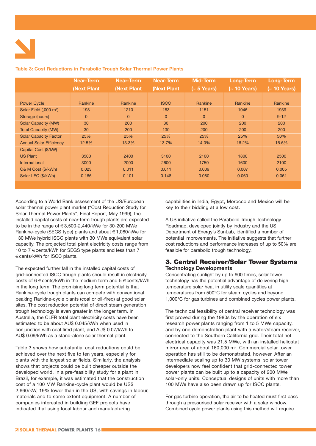

|                                    | <b>Near-Term</b> | <b>Near-Term</b> | <b>Near-Term</b> | <b>Mid-Term</b> | <b>Long-Term</b>      | Long-Term             |
|------------------------------------|------------------|------------------|------------------|-----------------|-----------------------|-----------------------|
|                                    | (Next Plant      | (Next Plant      | (Next Plant      | $(-5$ Years)    | $(-10 \text{ Years})$ | $(-10 \text{ Years})$ |
|                                    |                  |                  |                  |                 |                       |                       |
| <b>Power Cycle</b>                 | Rankine          | Rankine          | <b>ISCC</b>      | <b>Rankine</b>  | Rankine               | Rankine               |
| Solar Field (,000 m <sup>2</sup> ) | 193              | 1210             | 183              | 1151            | 1046                  | 1939                  |
| Storage (hours)                    | $\mathbf{0}$     | $\mathbf{0}$     | $\overline{0}$   | $\overline{0}$  | $\mathbf{0}$          | $9 - 12$              |
| Solar Capacity (MW)                | 30               | 200              | 30               | 200             | 200                   | 200                   |
| <b>Total Capacity (MW)</b>         | 30               | 200              | 130              | 200             | 200                   | 200                   |
| <b>Solar Capacity Factor</b>       | 25%              | 25%              | 25%              | 25%             | 25%                   | 50%                   |
| <b>Annual Solar Efficiency</b>     | 12.5%            | 13.3%            | 13.7%            | 14.0%           | 16.2%                 | 16.6%                 |
| Capital Cost (\$/kW)               |                  |                  |                  |                 |                       |                       |
| <b>US Plant</b>                    | 3500             | 2400             | 3100             | 2100            | 1800                  | 2500                  |
| International                      | 3000             | 2000             | 2600             | 1750            | 1600                  | 2100                  |
| O& M Cost (\$/kWh)                 | 0.023            | 0.011            | 0.011            | 0.009           | 0.007                 | 0.005                 |
| Solar LEC (\$/kWh)                 | 0.166            | 0.101            | 0.148            | 0.080           | 0.060                 | 0.061                 |
|                                    |                  |                  |                  |                 |                       |                       |

#### **Table 3: Cost Reductions in Parabolic Trough Solar Thermal Power Plants**

According to a World Bank assessment of the US/European solar thermal power plant market ("Cost Reduction Study for Solar Thermal Power Plants", Final Report, May 1999), the installed capital costs of near-term trough plants are expected to be in the range of  $\in$  3,500-2,440/kWe for 30-200 MWe Rankine-cycle (SEGS type) plants and about €1,080/kWe for 130 MWe hybrid ISCC plants with 30 MWe equivalent solar capacity. The projected total plant electricity costs range from 10 to 7  $\in$  cents/kWh for SEGS type plants and less than 7 €cents/kWh for ISCC plants.

The expected further fall in the installed capital costs of grid-connected ISCC trough plants should result in electricity costs of  $6 \in \text{cents}/kWh$  in the medium term and  $5 \in \text{cents}/kWh$ in the long term. The promising long term potential is that Rankine-cycle trough plants can compete with conventional peaking Rankine-cycle plants (coal or oil-fired) at good solar sites. The cost reduction potential of direct steam generation trough technology is even greater in the longer term. In Australia, the CLFR total plant electricity costs have been estimated to be about AU\$ 0.045/kWh when used in conjunction with coal fired plant, and AU\$ 0.07/kWh to AU\$ 0.09/kWh as a stand-alone solar thermal plant.

Table 3 shows how substantial cost reductions could be achieved over the next five to ten years, especially for plants with the largest solar fields. Similarly, the analysis shows that projects could be built cheaper outside the developed world. In a pre-feasibility study for a plant in Brazil, for example, it was estimated that the construction cost of a 100 MW Rankine-cycle plant would be US\$ 2,660/kW, 19% lower than in the US, with savings in labour, materials and to some extent equipment. A number of companies interested in building GEF projects have indicated that using local labour and manufacturing

capabilities in India, Egypt, Morocco and Mexico will be key to their bidding at a low cost.

A US initiative called the Parabolic Trough Technology Roadmap, developed jointly by industry and the US Department of Energy's SunLab, identified a number of potential improvements. The initiative suggests that further cost reductions and performance increases of up to 50% are feasible for parabolic trough technology.

#### **3. Central Receiver/Solar Tower Systems Technology Developments**

Concentrating sunlight by up to 600 times, solar tower technology has the potential advantage of delivering high temperature solar heat in utility scale quantities at temperatures from 500°C for steam cycles and beyond 1,000°C for gas turbines and combined cycles power plants.

The technical feasibility of central receiver technology was first proved during the 1980s by the operation of six research power plants ranging from 1 to 5 MWe capacity, and by one demonstration plant with a water/steam receiver, connected to the Southern California grid. Their total net electrical capacity was 21.5 MWe, with an installed heliostat mirror area of about 160,000 m<sup>2</sup>. Commercial solar tower operation has still to be demonstrated, however. After an intermediate scaling up to 30 MW systems, solar tower developers now feel confident that grid-connected tower power plants can be built up to a capacity of 200 MWe solar-only units. Conceptual designs of units with more than 100 MWe have also been drawn up for ISCC plants.

For gas turbine operation, the air to be heated must first pass through a pressurised solar receiver with a solar window. Combined cycle power plants using this method will require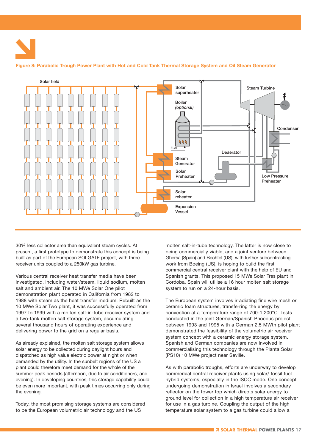**Figure 8: Parabolic Trough Power Plant with Hot and Cold Tank Thermal Storage System and Oil Steam Generator** 



30% less collector area than equivalent steam cycles. At present, a first prototype to demonstrate this concept is being built as part of the European SOLGATE project, with three receiver units coupled to a 250kW gas turbine.

Various central receiver heat transfer media have been investigated, including water/steam, liquid sodium, molten salt and ambient air. The 10 MWe Solar One pilot demonstration plant operated in California from 1982 to 1988 with steam as the heat transfer medium. Rebuilt as the 10 MWe Solar Two plant, it was successfully operated from 1997 to 1999 with a molten salt-in-tube receiver system and a two-tank molten salt storage system, accumulating several thousand hours of operating experience and delivering power to the grid on a regular basis.

As already explained, the molten salt storage system allows solar energy to be collected during daylight hours and dispatched as high value electric power at night or when demanded by the utility. In the sunbelt regions of the US a plant could therefore meet demand for the whole of the summer peak periods (afternoon, due to air conditioners, and evening). In developing countries, this storage capability could be even more important, with peak times occurring only during the evening.

Today, the most promising storage systems are considered to be the European volumetric air technology and the US

molten salt-in-tube technology. The latter is now close to being commercially viable, and a joint venture between Ghersa (Spain) and Bechtel (US), with further subcontracting work from Boeing (US), is hoping to build the first commercial central receiver plant with the help of EU and Spanish grants. This proposed 15 MWe Solar Tres plant in Cordoba, Spain will utilise a 16 hour molten salt storage system to run on a 24-hour basis.

The European system involves irradiating fine wire mesh or ceramic foam structures, transferring the energy by convection at a temperature range of 700-1,200°C. Tests conducted in the joint German/Spanish Phoebus project between 1993 and 1995 with a German 2.5 MWth pilot plant demonstrated the feasibility of the volumetric air receiver system concept with a ceramic energy storage system. Spanish and German companies are now involved in commercialising this technology through the Planta Solar (PS10) 10 MWe project near Seville.

As with parabolic troughs, efforts are underway to develop commercial central receiver plants using solar/ fossil fuel hybrid systems, especially in the ISCC mode. One concept undergoing demonstration in Israel involves a secondary reflector on the tower top which directs solar energy to ground level for collection in a high temperature air receiver for use in a gas turbine. Coupling the output of the high temperature solar system to a gas turbine could allow a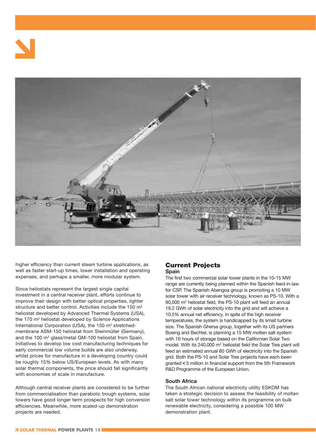



higher efficiency than current steam turbine applications, as well as faster start-up times, lower installation and operating expenses, and perhaps a smaller, more modular system.

Since heliostats represent the largest single capital investment in a central receiver plant, efforts continue to improve their design with better optical properties, lighter structure and better control. Activities include the 150 m<sup>2</sup> heliostat developed by Advanced Thermal Systems (USA), the 170 m<sup>2</sup> heliostat developed by Science Applications International Corporation (USA), the 150 m<sup>2</sup> stretchedmembrane ASM-150 heliostat from Steinmüller (Germany), and the 100 m<sup>2</sup> glass/metal GM-100 heliostat from Spain. Initiatives to develop low cost manufacturing techniques for early commercial low volume builds are also underway, whilst prices for manufacture in a developing country could be roughly 15% below US/European levels. As with many solar thermal components, the price should fall significantly with economies of scale in manufacture.

Although central receiver plants are considered to be further from commercialisation than parabolic trough systems, solar towers have good longer term prospects for high conversion efficiencies. Meanwhile, more scaled-up demonstration projects are needed.

#### **Current Projects Spain**

The first two commercial solar tower plants in the 10-15 MW range are currently being planned within the Spanish feed-in-law for CSP. The Spanish Abengoa group is promoting a 10 MW solar tower with air receiver technology, known as PS-10. With a 90,000 m2 heliostat field, the PS-10 plant will feed an annual 19.2 GWh of solar electricity into the grid and will achieve a 10.5% annual net efficiency. In spite of the high receiver temperatures, the system is handicapped by its small turbine size. The Spanish Ghersa group, together with its US partners Boeing and Bechtel, is planning a 15 MW molten salt system with 16 hours of storage based on the Californian Solar Two model. With its 240,000 m2 heliostat field the Solar Tres plant will feed an estimated annual 80 GWh of electricity into the Spanish grid. Both the PS-10 and Solar Tres projects have each been granted €5 million in financial support from the 5th Framework R&D Programme of the European Union.

#### **South Africa**

The South African national electricity utility ESKOM has taken a strategic decision to assess the feasibility of molten salt solar tower technology within its programme on bulk renewable electricity, considering a possible 100 MW demonstration plant.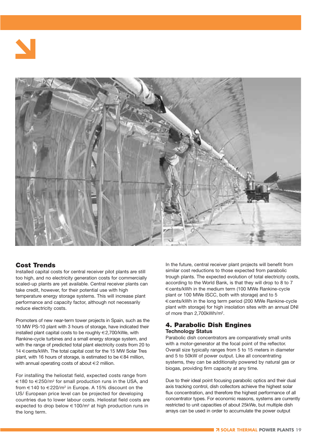



#### **Cost Trends**

Installed capital costs for central receiver pilot plants are still too high, and no electricity generation costs for commercially scaled-up plants are yet available. Central receiver plants can take credit, however, for their potential use with high temperature energy storage systems. This will increase plant performance and capacity factor, although not necessarily reduce electricity costs.

Promoters of new near-term tower projects in Spain, such as the 10 MW PS-10 plant with 3 hours of storage, have indicated their installed plant capital costs to be roughly €2,700/kWe, with Rankine-cycle turbines and a small energy storage system, and with the range of predicted total plant electricity costs from 20 to 14 €cents/kWh. The total capital cost for the 15 MW Solar Tres plant, with 16 hours of storage, is estimated to be €84 million, with annual operating costs of about €2 million.

For installing the heliostat field, expected costs range from €180 to €250/m2 for small production runs in the USA, and from  $\epsilon$ 140 to  $\epsilon$ 220/m<sup>2</sup> in Europe. A 15% discount on the US/ European price level can be projected for developing countries due to lower labour costs. Heliostat field costs are expected to drop below  $\epsilon$ 100/m<sup>2</sup> at high production runs in the long term.

In the future, central receiver plant projects will benefit from similar cost reductions to those expected from parabolic trough plants. The expected evolution of total electricity costs, according to the World Bank, is that they will drop to 8 to 7 €cents/kWh in the medium term (100 MWe Rankine-cycle plant or 100 MWe ISCC, both with storage) and to 5 €cents/kWh in the long term period (200 MWe Rankine-cycle plant with storage) for high insolation sites with an annual DNI of more than 2,700kWh/m2.

#### **4. Parabolic Dish Engines Technology Status**

Parabolic dish concentrators are comparatively small units with a motor-generator at the focal point of the reflector. Overall size typically ranges from 5 to 15 meters in diameter and 5 to 50kW of power output. Like all concentrating systems, they can be additionally powered by natural gas or biogas, providing firm capacity at any time.

Due to their ideal point focusing parabolic optics and their dual axis tracking control, dish collectors achieve the highest solar flux concentration, and therefore the highest performance of all concentrator types. For economic reasons, systems are currently restricted to unit capacities of about 25kWe, but multiple dish arrays can be used in order to accumulate the power output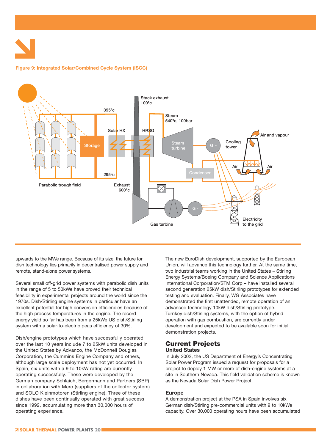**Figure 9: Integrated Solar/Combined Cycle System (ISCC)** 



upwards to the MWe range. Because of its size, the future for dish technology lies primarily in decentralised power supply and remote, stand-alone power systems.

Several small off-grid power systems with parabolic dish units in the range of 5 to 50kWe have proved their technical feasibility in experimental projects around the world since the 1970s. Dish/Stirling engine systems in particular have an excellent potential for high conversion efficiencies because of the high process temperatures in the engine. The record energy yield so far has been from a 25kWe US dish/Stirling system with a solar-to-electric peas efficiency of 30%.

Dish/engine prototypes which have successfully operated over the last 10 years include 7 to 25kW units developed in the United States by Advanco, the McDonnell Douglas Corporation, the Cummins Engine Company and others, although large scale deployment has not yet occurred. In Spain, six units with a 9 to 10kW rating are currently operating successfully. These were developed by the German company Schlaich, Bergermann and Partners (SBP) in collaboration with Mero (suppliers of the collector system) and SOLO Kleinmotoren (Stirling engine). Three of these dishes have been continually operated with great success since 1992, accumulating more than 30,000 hours of operating experience.

The new EuroDish development, supported by the European Union, will advance this technology further. At the same time, two industrial teams working in the United States – Stirling Energy Systems/Boeing Company and Science Applications International Corporation/STM Corp – have installed several second generation 25kW dish/Stirling prototypes for extended testing and evaluation. Finally, WG Associates have demonstrated the first unattended, remote operation of an advanced technology 10kW dish/Stirling prototype. Turnkey dish/Stirling systems, with the option of hybrid operation with gas combustion, are currently under development and expected to be available soon for initial demonstration projects.

#### **Current Projects United States**

In July 2002, the US Department of Energy's Concentrating Solar Power Program issued a request for proposals for a project to deploy 1 MW or more of dish-engine systems at a site in Southern Nevada. This field validation scheme is known as the Nevada Solar Dish Power Project.

#### **Europe**

A demonstration project at the PSA in Spain involves six German dish/Stirling pre-commercial units with 9 to 10kWe capacity. Over 30,000 operating hours have been accumulated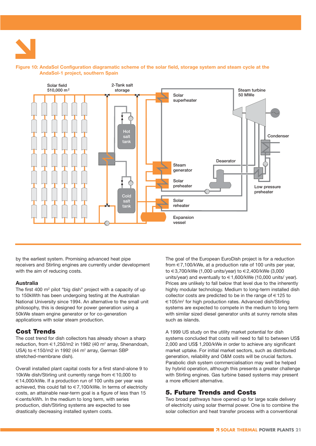

#### **Figure 10: AndaSol Configuration diagramatic scheme of the solar field, storage system and steam cycle at the AndaSol-1 project, southern Spain**



by the earliest system. Promising advanced heat pipe receivers and Stirling engines are currently under development with the aim of reducing costs.

#### **Australia**

The first 400 m2 pilot "big dish" project with a capacity of up to 150kWth has been undergoing testing at the Australian National University since 1994. An alternative to the small unit philosophy, this is designed for power generation using a 50kWe steam engine generator or for co-generation applications with solar steam production.

#### **Cost Trends**

The cost trend for dish collectors has already shown a sharp reduction, from  $\in$ 1,250/m2 in 1982 (40 m<sup>2</sup> array, Shenandoah, USA) to €150/m2 in 1992 (44 m<sup>2</sup> array, German SBP stretched-membrane dish).

Overall installed plant capital costs for a first stand-alone 9 to 10kWe dish/Stirling unit currently range from €10,000 to €14,000/kWe. If a production run of 100 units per year was achieved, this could fall to  $\in 7,100/k$ We. In terms of electricity costs, an attainable near-term goal is a figure of less than 15 €cents/kWh. In the medium to long term, with series production, dish/Stirling systems are expected to see drastically decreasing installed system costs.

The goal of the European EuroDish project is for a reduction from €7,100/kWe, at a production rate of 100 units per year, to €3,700/kWe (1,000 units/year) to €2,400/kWe (3,000 units/year) and eventually to €1,600/kWe (10,000 units/ year). Prices are unlikely to fall below that level due to the inherently highly modular technology. Medium to long-term installed dish collector costs are predicted to be in the range of  $\in$  125 to €105/m2 for high production rates. Advanced dish/Stirling systems are expected to compete in the medium to long term with similar sized diesel generator units at sunny remote sites such as islands.

A 1999 US study on the utility market potential for dish systems concluded that costs will need to fall to between US\$ 2,000 and US\$ 1,200/kWe in order to achieve any significant market uptake. For initial market sectors, such as distributed generation, reliability and O&M costs will be crucial factors. Parabolic dish system commercialisation may well be helped by hybrid operation, although this presents a greater challenge with Stirling engines. Gas turbine based systems may present a more efficient alternative.

#### **5. Future Trends and Costs**

Two broad pathways have opened up for large scale delivery of electricity using solar thermal power. One is to combine the solar collection and heat transfer process with a conventional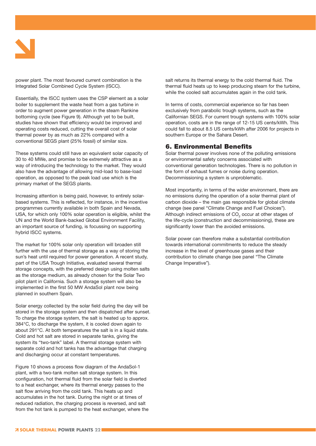

power plant. The most favoured current combination is the Integrated Solar Combined Cycle System (ISCC).

Essentially, the ISCC system uses the CSP element as a solar boiler to supplement the waste heat from a gas turbine in order to augment power generation in the steam Rankine bottoming cycle (see Figure 9). Although yet to be built, studies have shown that efficiency would be improved and operating costs reduced, cutting the overall cost of solar thermal power by as much as 22% compared with a conventional SEGS plant (25% fossil) of similar size.

These systems could still have an equivalent solar capacity of 30 to 40 MWe, and promise to be extremely attractive as a way of introducing the technology to the market. They would also have the advantage of allowing mid-load to base-load operation, as opposed to the peak load use which is the primary market of the SEGS plants.

Increasing attention is being paid, however, to entirely solarbased systems. This is reflected, for instance, in the incentive programmes currently available in both Spain and Nevada, USA, for which only 100% solar operation is eligible, whilst the UN and the World Bank-backed Global Environment Facility, an important source of funding, is focussing on supporting hybrid ISCC systems.

The market for 100% solar only operation will broaden still further with the use of thermal storage as a way of storing the sun's heat until required for power generation. A recent study, part of the USA Trough Initiative, evaluated several thermal storage concepts, with the preferred design using molten salts as the storage medium, as already chosen for the Solar Two pilot plant in California. Such a storage system will also be implemented in the first 50 MW AndaSol plant now being planned in southern Spain.

Solar energy collected by the solar field during the day will be stored in the storage system and then dispatched after sunset. To charge the storage system, the salt is heated up to approx. 384°C, to discharge the system, it is cooled down again to about 291°C. At both temperatures the salt is in a liquid state. Cold and hot salt are stored in separate tanks, giving the system its "two-tank" label. A thermal storage system with separate cold and hot tanks has the advantage that charging and discharging occur at constant temperatures.

Figure 10 shows a process flow diagram of the AndaSol-1 plant, with a two-tank molten salt storage system. In this configuration, hot thermal fluid from the solar field is diverted to a heat exchanger, where its thermal energy passes to the salt flow arriving from the cold tank. This heats up and accumulates in the hot tank. During the night or at times of reduced radiation, the charging process is reversed, and salt from the hot tank is pumped to the heat exchanger, where the salt returns its thermal energy to the cold thermal fluid. The thermal fluid heats up to keep producing steam for the turbine, while the cooled salt accumulates again in the cold tank.

In terms of costs, commercial experience so far has been exclusively from parabolic trough systems, such as the Californian SEGS. For current trough systems with 100% solar operation, costs are in the range of 12-15 US cents/kWh. This could fall to about 8.5 US cents/kWh after 2006 for projects in southern Europe or the Sahara Desert.

#### **6. Environmental Benefits**

Solar thermal power involves none of the polluting emissions or environmental safety concerns associated with conventional generation technologies. There is no pollution in the form of exhaust fumes or noise during operation. Decommissioning a system is unproblematic.

Most importantly, in terms of the wider environment, there are no emissions during the operation of a solar thermal plant of carbon dioxide – the main gas responsible for global climate change (see panel "Climate Change and Fuel Choices"). Although indirect emissions of CO<sub>2</sub> occur at other stages of the life-cycle (construction and decommissioning), these are significantly lower than the avoided emissions.

Solar power can therefore make a substantial contribution towards international commitments to reduce the steady increase in the level of greenhouse gases and their contribution to climate change (see panel "The Climate Change Imperative").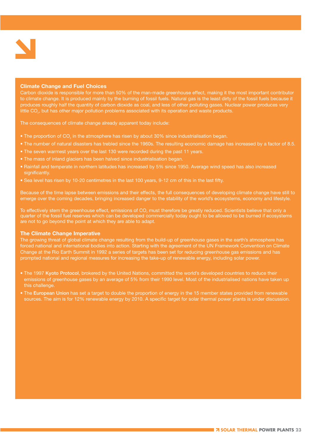

#### **Climate Change and Fuel Choices**

Carbon dioxide is responsible for more than 50% of the man-made greenhouse effect, making it the most important contributor to climate change. It is produced mainly by the burning of fossil fuels. Natural gas is the least dirty of the fossil fuels because it produces roughly half the quantity of carbon dioxide as coal, and less of other polluting gases. Nuclear power produces very little CO<sub>2</sub>, but has other major pollution problems associated with its operation and waste products.

The consequences of climate change already apparent today include:

- The proportion of CO<sub>2</sub> in the atmosphere has risen by about 30% since industrialisation began.
- The number of natural disasters has trebled since the 1960s. The resulting economic damage has increased by a factor of 8.5.
- The seven warmest years over the last 130 were recorded during the past 11 years.
- The mass of inland glaciers has been halved since industrialisation began.
- Rainfall and temperate in northern latitudes has increased by 5% since 1950. Average wind speed has also increased significantly.
- Sea level has risen by 10-20 centimetres in the last 100 years, 9-12 cm of this in the last fifty.

Because of the time lapse between emissions and their effects, the full consequences of developing climate change have still to emerge over the coming decades, bringing increased danger to the stability of the world's ecosystems, economy and lifestyle.

To effectively stem the greenhouse effect, emissions of CO<sub>2</sub> must therefore be greatly reduced. Scientists believe that only a quarter of the fossil fuel reserves which can be developed commercially today ought to be allowed to be burned if ecosystems are not to go beyond the point at which they are able to adapt.

#### **The Climate Change Imperative**

The growing threat of global climate change resulting from the build-up of greenhouse gases in the earth's atmosphere has forced national and international bodies into action. Starting with the agreement of the UN Framework Convention on Climate Change at the Rio Earth Summit in 1992 a series of targets has been set for reducing greenhouse gas emissions and has prompted national and regional measures for increasing the take-up of renewable energy, including solar power.

- The 1997 **Kyoto Protocol**, brokered by the United Nations, committed the world's developed countries to reduce their emissions of greenhouse gases by an average of 5% from their 1990 level. Most of the industrialised nations have taken up this challenge.
- The **European Union** has set a target to double the proportion of energy in the 15 member states provided from renewable sources. The aim is for 12% renewable energy by 2010. A specific target for solar thermal power plants is under discussion.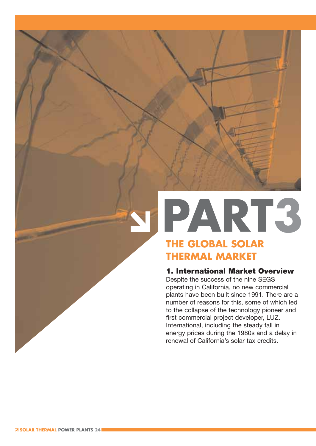## **PART3 THE GLOBAL SOLAR**

### **THERMAL MARKET**

#### **1. International Market Overview**

Despite the success of the nine SEGS operating in California, no new commercial plants have been built since 1991. There are a number of reasons for this, some of which led to the collapse of the technology pioneer and first commercial project developer, LUZ. International, including the steady fall in energy prices during the 1980s and a delay in renewal of California's solar tax credits.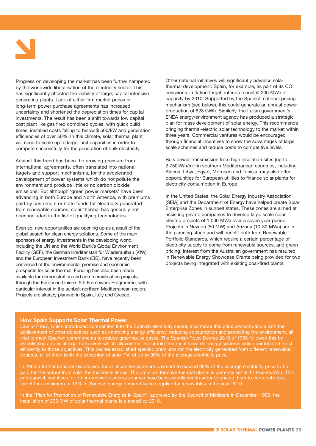

Progress on developing the market has been further hampered by the worldwide liberalisation of the electricity sector. This has significantly affected the viability of large, capital intensive generating plants. Lack of either firm market prices or long-term power purchase agreements has increased uncertainty and shortened the depreciation times for capital investments. The result has been a shift towards low capital cost plant like gas fired combined cycles, with quick build times, installed costs falling to below \$ 500/kW and generation efficiencies of over 50%. In this climate, solar thermal plant will need to scale up to larger unit capacities in order to compete successfully for the generation of bulk electricity.

Against this trend has been the growing pressure from international agreements, often translated into national targets and support mechanisms, for the accelerated development of power systems which do not pollute the environment and produce little or no carbon dioxide emissions. But although 'green power markets' have been advancing in both Europe and North America, with premiums paid by customers or state funds for electricity generated from renewable sources, solar thermal has generally not been included in the list of qualifying technologies.

Even so, new opportunities are opening up as a result of the global search for clean energy solutions. Some of the main sponsors of energy investments in the developing world, including the UN and the World Bank's Global Environment Facility (GEF), the German Kreditanstalt für Wiederaufbau (KfW) and the European Investment Bank (EIB), have recently been convinced of the environmental promise and economic prospects for solar thermal. Funding has also been made available for demonstration and commercialisation projects through the European Union's 5th Framework Programme, with particular interest in the sunbelt northern Mediterranean region. Projects are already planned in Spain, Italy and Greece.

Other national initiatives will significantly advance solar thermal development. Spain, for example, as part of its CO<sub>2</sub> emissions limitation target, intends to install 200 MWe of capacity by 2010. Supported by the Spanish national pricing mechanism (see below), this could generate an annual power production of 628 GWh. Similarly, the Italian government's ENEA energy/environment agency has produced a strategic plan for mass development of solar energy. This recommends bringing thermal-electric solar technology to the market within three years. Commercial ventures would be encouraged through financial incentives to show the advantages of large scale schemes and reduce costs to competitive levels.

Bulk power transmission from high insolation sites (up to 2,750kWh/m2) in southern Mediterranean countries, including Algeria, Libya, Egypt, Morocco and Tunisia, may also offer opportunities for European utilities to finance solar plants for electricity consumption in Europe.

In the United States, the Solar Energy Industry Association (SEIA) and the Department of Energy have helped create Solar Enterprise Zones in sunbelt states. These zones are aimed at assisting private companies to develop large scale solar electric projects of 1,000 MWe over a seven year period. Projects in Nevada (50 MW) and Arizona (10-30 MWe) are in the planning stage and will benefit both from Renewable Portfolio Standards, which require a certain percentage of electricity supply to come from renewable sources, and green pricing. Interest from the Australian government has resulted in Renewable Energy Showcase Grants being provided for two projects being integrated with existing coal-fired plants.

#### **How Spain Supports Solar Thermal Power**

Law 54/1997, which introduced competition into the Spanish electricity sector, also made this principle compatible with the achievement of other objectives such as improving energy efficiency, reducing consumption and protecting the environment, all vital to meet Spanish commitments to reduce greenhouse gases. The Spanish Royal Decree 2818 of 1998 followed this by establishing a special legal framework which allowed for favourable treatment towards energy systems which contributed most efficiently to those objectives. This decree established specific premiums for the electricity generated from different renewable sources, all of them (with the exception of solar PV) of up to 90% of the average electricity price.

In 2000 a further national law allowed for an incentive premium payment to exceed 90% of the average electricity price to be paid for the output from solar thermal installations. The premium for solar thermal plants is currently set at 12 €cents/kWh. This and parallel incentives for other renewable energy sources have been established in order to enable them to contribute to a target for a minimum of 12% of Spanish energy demand to be supplied by renewables in the year 2010.

In the "Plan for Promotion of Renewable Energies in Spain", approved by the Council of Ministers in December 1999, the installation of 200 MW of solar thermal plants is planned by 2010.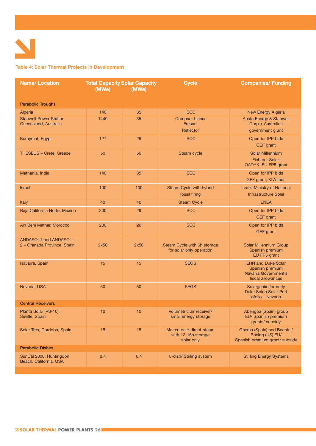

#### **Table 4: Solar Thermal Projects in Development**

| <b>Name/Location</b>                                        | <b>Total Capacity Solar Capacity</b><br>(MWe)<br>(MWe) |      | <b>Cycle</b>                                                   | <b>Companies/ Funding</b>                                                                 |  |
|-------------------------------------------------------------|--------------------------------------------------------|------|----------------------------------------------------------------|-------------------------------------------------------------------------------------------|--|
| <b>Parabolic Troughs</b>                                    |                                                        |      |                                                                |                                                                                           |  |
| Algeria                                                     | 140                                                    | 35   | <b>ISCC</b>                                                    | New Energy Algeria                                                                        |  |
| <b>Stanwell Power Station,</b><br>Queensland, Australia     | 1440                                                   | 35   | <b>Compact Linear</b><br>Fresnel<br>Reflector                  | Austa Energy & Stanwell<br>Corp + Australian<br>government grant                          |  |
| Kuraymat, Egypt                                             | 127                                                    | 29   | <b>ISCC</b>                                                    | Open for IPP bids<br><b>GEF</b> grant                                                     |  |
| <b>THESEUS - Crete, Greece</b>                              | 50                                                     | 50   | Steam cycle                                                    | <b>Solar Millennium</b><br><b>Fichtner Solar,</b><br>OADYK, EU FP5 grant                  |  |
| Mathania, India                                             | 140                                                    | 35   | <b>ISCC</b>                                                    | Open for IPP bids<br>GEF grant, KfW loan                                                  |  |
| <b>Israel</b>                                               | 100                                                    | 100  | Steam Cycle with hybrid<br>fossil firing                       | <b>Israeli Ministry of National</b><br><b>Infrastructure Solel</b>                        |  |
| <b>Italy</b>                                                | 40                                                     | 40   | <b>Steam Cycle</b>                                             | <b>ENEA</b>                                                                               |  |
| Baja California Norte, Mexico                               | 300                                                    | 29   | <b>ISCC</b>                                                    | Open for IPP bids<br><b>GEF</b> grant                                                     |  |
| Ain Beni Mathar, Morocco                                    | 230                                                    | 26   | <b>ISCC</b>                                                    | Open for IPP bids<br><b>GEF</b> grant                                                     |  |
| <b>ANDASOL1 and ANDASOL-</b><br>2 - Granada Province, Spain | 2x50                                                   | 2x50 | Steam Cycle with 6h storage<br>for solar only operation        | Solar Millennium Group<br>Spanish premium<br>EU FP5 grant                                 |  |
| Navarra, Spain                                              | 15                                                     | 15   | <b>SEGS</b>                                                    | <b>EHN and Duke Solar</b><br>Spanish premium<br>Navarra Government's<br>fiscal allowances |  |
| Nevada, USA                                                 | 50                                                     | 50   | <b>SEGS</b>                                                    | Solargenix (formerly<br>Duke Solar) Solar Port<br>ofolio - Nevada                         |  |
| <b>Central Receivers</b>                                    |                                                        |      |                                                                |                                                                                           |  |
| Planta Solar (PS-10),<br>Seville, Spain                     | 10                                                     | 10   | Volumetric air receiver/<br>small energy storage               | Abengoa (Spain) group<br>EU/ Spanish premium<br>grants/ subsidy                           |  |
| Solar Tres, Cordoba, Spain                                  | 15                                                     | 15   | Molten-salt/ direct-steam<br>with 12-16h storage<br>solar only | Ghersa (Spain) and Bechtel/<br>Boeing (US) EU/<br>Spanish premium grant/ subsidy          |  |
| <b>Parabolic Dishes</b>                                     |                                                        |      |                                                                |                                                                                           |  |
| SunCal 2000, Huntingdon<br>Beach, California, USA           | 0.4                                                    | 0.4  | 8-dish/ Stirling system                                        | <b>Stirling Energy Systems</b>                                                            |  |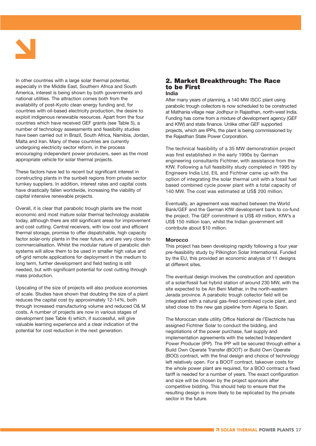

In other countries with a large solar thermal potential, especially in the Middle East, Southern Africa and South America, interest is being shown by both governments and national utilities. The attraction comes both from the availability of post-Kyoto clean energy funding and, for countries with oil-based electricity production, the desire to exploit indigenous renewable resources. Apart from the four countries which have received GEF grants (see Table 5), a number of technology assessments and feasibility studies have been carried out in Brazil, South Africa, Namibia, Jordan, Malta and Iran. Many of these countries are currently undergoing electricity sector reform, in the process encouraging independent power producers, seen as the most appropriate vehicle for solar thermal projects.

These factors have led to recent but significant interest in constructing plants in the sunbelt regions from private sector turnkey suppliers. In addition, interest rates and capital costs have drastically fallen worldwide, increasing the viability of capital intensive renewable projects.

Overall, it is clear that parabolic trough plants are the most economic and most mature solar thermal technology available today, although there are still significant areas for improvement and cost cutting. Central receivers, with low cost and efficient thermal storage, promise to offer dispatchable, high capacity factor solar-only plants in the near future, and are very close to commercialisation. Whilst the modular nature of parabolic dish systems will allow them to be used in smaller high value and off-grid remote applications for deployment in the medium to long term, further development and field testing is still needed, but with significant potential for cost cutting through mass production.

Upscaling of the size of projects will also produce economies of scale. Studies have shown that doubling the size of a plant reduces the capital cost by approximately 12-14%, both through increased manufacturing volume and reduced O& M costs. A number of projects are now in various stages of development (see Table 4) which, if successful, will give valuable learning experience and a clear indication of the potential for cost reduction in the next generation.

#### **2. Market Breakthrough: The Race to be First India**

After many years of planning, a 140 MW ISCC plant using parabolic trough collectors is now scheduled to be constructed at Mathania village near Jodhpur in Rajasthan, north-west India. Funding has come from a mixture of development agency (GEF and KfW) and state finance. Unlike other GEF supported projects, which are IPPs, the plant is being commissioned by the Rajasthan State Power Corporation.

The technical feasibility of a 35 MW demonstration project was first established in the early 1990s by German engineering consultants Fichtner, with assistance from the KfW. Following a full feasibility study completed in 1995 by Engineers India Ltd, EIL and Fichtner came up with the option of integrating the solar thermal unit with a fossil fuel based combined cycle power plant with a total capacity of 140 MW. The cost was estimated at US\$ 200 million.

Eventually, an agreement was reached between the World Bank/GEF and the German KfW development bank to co-fund the project. The GEF commitment is US\$ 49 million, KfW's a US\$ 150 million loan, whilst the Indian government will contribute about \$10 million.

#### **Morocco**

This project has been developing rapidly following a four year pre-feasibility study by Pilkington Solar International. Funded by the EU, this provided an economic analysis of 11 designs at different sites.

The eventual design involves the construction and operation of a solar/fossil fuel hybrid station of around 230 MW, with the site expected to be Ain Beni Mathar, in the north-eastern Jerada province. A parabolic trough collector field will be integrated with a natural gas-fired combined cycle plant, and sited close to the new gas pipeline from Algeria to Spain.

The Moroccan state utility Office National de l'Electricite has assigned Fichtner Solar to conduct the bidding, and negotiations of the power purchase, fuel supply and implementation agreements with the selected Independent Power Producer (IPP). The IPP will be secured through either a Build Own Operate Transfer (BOOT) or Build Own Operate (BOO) contract, with the final design and choice of technology left relatively open. For a BOOT contract, takeover costs for the whole power plant are required, for a BOO contract a fixed tariff is needed for a number of years. The exact configuration and size will be chosen by the project sponsors after competitive bidding. This should help to ensure that the resulting design is more likely to be replicated by the private sector in the future.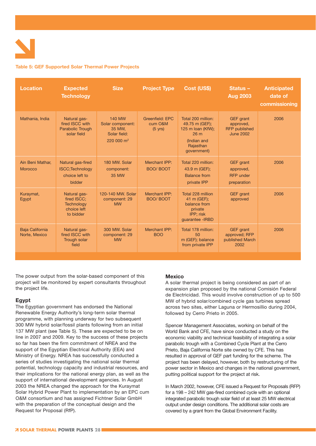#### **Table 5: GEF Supported Solar Thermal Power Projects**

| <b>Location</b>                    | <b>Expected</b><br><b>Technology</b>                                         | <b>Size</b>                                                                 | <b>Project Type</b>                             | Cost (US\$)                                                                                                  | Status-<br><b>Aug 2003</b>                                                | <b>Anticipated</b><br>date of<br>commissioning |
|------------------------------------|------------------------------------------------------------------------------|-----------------------------------------------------------------------------|-------------------------------------------------|--------------------------------------------------------------------------------------------------------------|---------------------------------------------------------------------------|------------------------------------------------|
| Mathania, India                    | Natural gas-<br>fired ISCC with<br><b>Parabolic Trough</b><br>solar field    | <b>140 MW</b><br>Solar component:<br>35 MW,<br>Solar field:<br>$220000 m^2$ | Greenfield: EPC<br>cum O&M<br>$(5 \text{ yrs})$ | Total 200 million:<br>49.75 m (GEF);<br>125 m Ioan (KfW);<br>26 m<br>(Indian and<br>Rajasthan<br>government) | <b>GEF</b> grant<br>approved,<br><b>RFP</b> published<br><b>June 2002</b> | 2006                                           |
| Ain Beni Mathar,<br><b>Morocco</b> | Natural gas-fired<br><b>ISCC: Technology</b><br>choice left to<br>bidder     | 180 MW. Solar<br>component:<br>35 MW                                        | Merchant IPP:<br><b>BOO/ BOOT</b>               | Total 220 million:<br>43.9 m (GEF);<br><b>Balance from</b><br>private IPP                                    | GEF grant<br>approved,<br><b>RFP</b> under<br>preparation                 | 2006                                           |
| Kuraymat,<br>Egypt                 | Natural gas-<br>fired ISCC:<br><b>Technology</b><br>choice left<br>to bidder | 120-140 MW. Solar<br>component: 29<br><b>MW</b>                             | Merchant IPP:<br><b>BOO/ BOOT</b>               | Total 228 million<br>41 m (GEF);<br>balance from<br>private<br>IPP; risk<br>guarantee - IRBD                 | <b>GEF</b> grant<br>approved                                              | 2006                                           |
| Baja California<br>Norte, Mexico   | Natural gas-<br>fired ISCC with<br>Trough solar<br>field                     | 300 MW. Solar<br>component: 29<br><b>MW</b>                                 | Merchant IPP:<br><b>BOO</b>                     | Total 178 million:<br>50<br>m (GEF); balance<br>from private IPP                                             | <b>GEF</b> grant<br>approved; RFP<br>published March<br>2002              | 2006                                           |

The power output from the solar-based component of this project will be monitored by expert consultants throughout the project life.

#### **Egypt**

The Egyptian government has endorsed the National Renewable Energy Authority's long-term solar thermal programme, with planning underway for two subsequent 300 MW hybrid solar/fossil plants following from an initial 137 MW plant (see Table 5). These are expected to be on line in 2007 and 2009. Key to the success of these projects so far has been the firm commitment of NREA and the support of the Egyptian Electrical Authority (EEA) and Ministry of Energy. NREA has successfully conducted a series of studies investigating the national solar thermal potential, technology capacity and industrial resources, and their implications for the national energy plan, as well as the support of international development agencies. In August 2003 the NREA changed the approach for the Kuraymat Solar Hybrid Power Plant to implementation by an EPC cum O&M consortium and has assigned Fichtner Solar GmbH with the preparation of the conceptual design and the Request for Proposal (RfP).

#### **Mexico**

A solar thermal project is being considered as part of an expansion plan proposed by the national Comisión Federal de Electricidad. This would involve construction of up to 500 MW of hybrid solar/combined cycle gas turbines spread across two sites, either Laguna or Hermosillio during 2004, followed by Cerro Prieto in 2005.

Spencer Management Associates, working on behalf of the World Bank and CFE, have since conducted a study on the economic viability and technical feasibility of integrating a solar parabolic trough with a Combined Cycle Plant at the Cerro Prieto, Baja California Norte site owned by CFE. This has resulted in approval of GEF part funding for the scheme. The project has been delayed, however, both by restructuring of the power sector in Mexico and changes in the national government, putting political support for the project at risk.

In March 2002, however, CFE issued a Request for Proposals (RFP) for a 198 – 242 MW gas-fired combined cycle with an optional integrated parabolic trough solar field of at least 25 MW electrical output under design conditions. The additional solar costs are covered by a grant from the Global Environment Facility.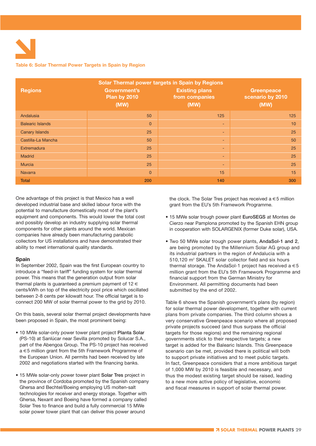#### **Table 6: Solar Thermal Power Targets in Spain by Region**

| Solar Thermal power targets in Spain by Regions |                                                    |                                                 |                                               |  |  |  |  |
|-------------------------------------------------|----------------------------------------------------|-------------------------------------------------|-----------------------------------------------|--|--|--|--|
| <b>Regions</b>                                  | <b>Government's</b><br><b>Plan by 2010</b><br>(MW) | <b>Existing plans</b><br>from companies<br>(MW) | <b>Greenpeace</b><br>scenario by 2010<br>(MW) |  |  |  |  |
| Andalusia                                       | 50                                                 | 125                                             | 125                                           |  |  |  |  |
| <b>Balearic Islands</b>                         | $\overline{0}$                                     | $\overline{\phantom{a}}$                        | 10                                            |  |  |  |  |
| <b>Canary Islands</b>                           | 25                                                 | ٠                                               | 25                                            |  |  |  |  |
| Castilla-La Mancha                              | 50                                                 | $\overline{\phantom{a}}$                        | 50                                            |  |  |  |  |
| Extremadura                                     | 25                                                 | ٠                                               | 25                                            |  |  |  |  |
| <b>Madrid</b>                                   | 25                                                 | ٠                                               | 25                                            |  |  |  |  |
| <b>Murcia</b>                                   | 25                                                 | ٠                                               | 25                                            |  |  |  |  |
| <b>Navarra</b>                                  | $\mathbf{0}$                                       | 15                                              | 15                                            |  |  |  |  |
| <b>Total</b>                                    | 200                                                | 140                                             | 300                                           |  |  |  |  |

One advantage of this project is that Mexico has a well developed industrial base and skilled labour force with the potential to manufacture domestically most of the plant's equipment and components. This would lower the total cost and possibly develop an industry supplying solar thermal components for other plants around the world. Mexican companies have already been manufacturing parabolic collectors for US installations and have demonstrated their ability to meet international quality standards.

#### **Spain**

In September 2002, Spain was the first European country to introduce a "feed-in tariff" funding system for solar thermal power. This means that the generation output from solar thermal plants is quaranteed a premium payment of 12 $\in$ cents/kWh on top of the electricity pool price which oscillated between 2-8 cents per kilowatt hour. The official target is to connect 200 MW of solar thermal power to the grid by 2010.

On this basis, several solar thermal project developments have been proposed in Spain, the most prominent being:

- 10 MWe solar-only power tower plant project **Planta Solar** (PS-10) at Sanlúcar near Sevilla promoted by Solucar S.A., part of the Abengoa Group. The PS-10 project has received a €5 million grant from the 5th Framework Programme of the European Union. All permits had been received by late 2002 and negotiations started with the financing banks.
- 15 MWe solar-only power tower plant **Solar Tres** project in the province of Cordoba promoted by the Spanish company Ghersa and Bechtel/Boeing employing US molten-salt technologies for receiver and energy storage. Together with Ghersa, Nexant and Boeing have formed a company called Solar Tres to finance and build a fully commercial 15 MWe solar power tower plant that can deliver this power around

the clock. The Solar Tres project has received  $a \in 5$  million grant from the EU's 5th Framework Programme.

- 15 MWe solar trough power plant **EuroSEGS** at Montes de Cierzo near Pamplona promoted by the Spanish EHN group in cooperation with SOLARGENIX (former Duke solar), USA.
- Two 50 MWe solar trough power plants, **AndaSol-1 and 2**, are being promoted by the Millennium Solar AG group and its industrial partners in the region of Andalucia with a 510,120 m<sup>2</sup> SKALET solar collector field and six hours thermal storage. The AndaSol-1 project has received a  $\in$  5 million grant from the EU's 5th Framework Programme and financial support from the German Ministry for Environment. All permitting documents had been submitted by the end of 2002.

Table 6 shows the Spanish government's plans (by region) for solar thermal power development, together with current plans from private companies. The third column shows a very conservative Greenpeace scenario where all proposed private projects succeed (and thus surpass the official targets for those regions) and the remaining regional governments stick to their respective targets; a new target is added for the Balearic Islands. This Greenpeace scenario can be met, provided there is political will both to support private initiatives and to meet public targets. In fact, Greenpeace considers that a more ambitious target of 1,000 MW by 2010 is feasible and necessary, and thus the modest existing target should be raised, leading to a new more active policy of legislative, economic and fiscal measures in support of solar thermal power.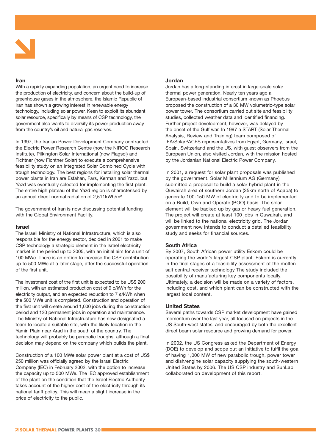

#### **Iran**

With a rapidly expanding population, an urgent need to increase the production of electricity, and concern about the build-up of greenhouse gases in the atmosphere, the Islamic Republic of Iran has shown a growing interest in renewable energy technology, including solar power. Keen to exploit its abundant solar resource, specifically by means of CSP technology, the government also wants to diversify its power production away from the country's oil and natural gas reserves.

In 1997, the Iranian Power Development Company contracted the Electric Power Research Centre (now the NIROO Research Institute), Pilkington Solar International (now Flagsol) and Fichtner (now Fichtner Solar) to execute a comprehensive feasibility study on an Integrated Solar Combined Cycle with trough technology. The best regions for installing solar thermal power plants in Iran are Esfahan, Fars, Kerman and Yazd, but Yazd was eventually selected for implementing the first plant. The entire high plateau of the Yazd region is characterised by an annual direct normal radiation of 2,511kWh/m2.

The government of Iran is now discussing potential funding with the Global Environment Facility.

#### **Israel**

The Israeli Ministry of National Infrastructure, which is also responsible for the energy sector, decided in 2001 to make CSP technology a strategic element in the Israel electricity market in the period up to 2005, with an initial aim for a unit of 100 MWe. There is an option to increase the CSP contribution up to 500 MWe at a later stage, after the successful operation of the first unit.

The investment cost of the first unit is expected to be US\$ 200 million, with an estimated production cost of 9 ¢/kWh for the electricity output, and an expected reduction to 7 ¢/kWh when the 500 MWe unit is completed. Construction and operation of the first unit will create around 1,000 jobs during the construction period and 120 permanent jobs in operation and maintenance. The Ministry of National Infrastructure has now designated a team to locate a suitable site, with the likely location in the Yamin Plain near Arad in the south of the country. The technology will probably be parabolic troughs, although a final decision may depend on the company which builds the plant.

Construction of a 100 MWe solar power plant at a cost of US\$ 250 million was officially agreed by the Israel Electric Company (IEC) in February 2002, with the option to increase the capacity up to 500 MWe. The IEC approved establishment of the plant on the condition that the Israel Electric Authority takes account of the higher cost of the electricity through its national tariff policy. This will mean a slight increase in the price of electricity to the public.

#### **Jordan**

Jordan has a long-standing interest in large-scale solar thermal power generation. Nearly ten years ago a European-based industrial consortium known as Phoebus proposed the construction of a 30 MW volumetric-type solar power tower. The consortium carried out site and feasibility studies, collected weather data and identified financing. Further project development, however, was delayed by the onset of the Gulf war. In 1997 a START (Solar Thermal Analysis, Review and Training) team composed of IEA/SolarPACES representatives from Egypt, Germany, Israel, Spain, Switzerland and the US, with guest observers from the European Union, also visited Jordan, with the mission hosted by the Jordanian National Electric Power Company.

In 2001, a request for solar plant proposals was published by the government. Solar Millennium AG (Germany) submitted a proposal to build a solar hybrid plant in the Quwairah area of southern Jordan (35km north of Aqaba) to generate 100-150 MW of electricity and to be implemented on a Build, Own and Operate (BOO) basis. The solar element will be backed up by gas or heavy fuel generation. The project will create at least 100 jobs in Quwairah, and will be linked to the national electricity grid. The Jordan government now intends to conduct a detailed feasibility study and seeks for financial sources.

#### **South Africa**

By 2007, South African power utility Eskom could be operating the world's largest CSP plant. Eskom is currently in the final stages of a feasibility assessment of the molten salt central receiver technology The study included the possibility of manufacturing key components locally. Ultimately, a decision will be made on a variety of factors, including cost, and which plant can be constructed with the largest local content.

#### **United States**

Several paths towards CSP market development have gained momentum over the last year, all focused on projects in the US South-west states, and encouraged by both the excellent direct beam solar resource and growing demand for power.

In 2002, the US Congress asked the Department of Energy (DOE) to develop and scope out an initiative to fulfil the goal of having 1,000 MW of new parabolic trough, power tower and dish/engine solar capacity supplying the south-western United States by 2006. The US CSP industry and SunLab collaborated on development of this report.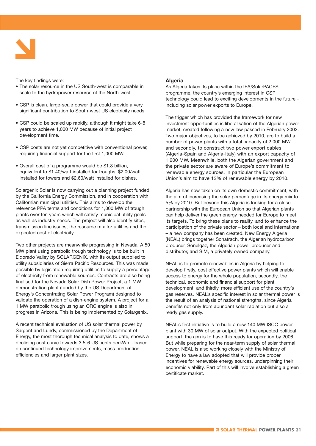

The key findings were:

- The solar resource in the US South-west is comparable in scale to the hydropower resource of the North-west.
- CSP is clean, large-scale power that could provide a very significant contribution to South-west US electricity needs.
- CSP could be scaled up rapidly, although it might take 6-8 years to achieve 1,000 MW because of initial project development time.
- CSP costs are not yet competitive with conventional power, requiring financial support for the first 1,000 MW.
- Overall cost of a programme would be \$1.8 billion, equivalent to \$1.40/watt installed for troughs, \$2.00/watt installed for towers and \$2.60/watt installed for dishes.

Solargenix Solar is now carrying out a planning project funded by the California Energy Commission, and in cooperation with Californian municipal utilities. This aims to develop the reference PPA terms and conditions for 1,000 MW of trough plants over ten years which will satisfy municipal utility goals as well as industry needs. The project will also identify sites, transmission line issues, the resource mix for utilities and the expected cost of electricity.

Two other projects are meanwhile progressing in Nevada. A 50 MW plant using parabolic trough technology is to be built in Eldorado Valley by SOLARGENIX, with its output supplied to utility subsidiaries of Sierra Pacific Resources. This was made possible by legislation requiring utilities to supply a percentage of electricity from renewable sources. Contracts are also being finalised for the Nevada Solar Dish Power Project, a 1 MW demonstration plant (funded by the US Department of Energy's Concentrating Solar Power Program) designed to validate the operation of a dish-engine system. A project for a 1 MW parabolic trough using an ORC engine is also in progress in Arizona. This is being implemented by Solargenix.

A recent technical evaluation of US solar thermal power by Sargent and Lundy, commissioned by the Department of Energy, the most thorough technical analysis to date, shows a declining cost curve towards 3.5-6 US cents perkWh – based on continued technology improvements, mass production efficiencies and larger plant sizes.

#### **Algeria**

As Algeria takes its place within the IEA/SolarPACES programme, the country's emerging interest in CSP technology could lead to exciting developments in the future – including solar power exports to Europe.

The trigger which has provided the framework for new investment opportunities is liberalisation of the Algerian power market, created following a new law passed in February 2002. Two major objectives, to be achieved by 2010, are to build a number of power plants with a total capacity of 2,000 MW, and secondly, to construct two power export cables (Algeria-Spain and Algeria-Italy) with an export capacity of 1,200 MW. Meanwhile, both the Algerian government and the private sector are aware of Europe's commitment to renewable energy sources, in particular the European Union's aim to have 12% of renewable energy by 2010.

Algeria has now taken on its own domestic commitment, with the aim of increasing the solar percentage in its energy mix to 5% by 2010. But beyond this Algeria is looking for a close partnership with the European Union so that Algerian plants can help deliver the green energy needed for Europe to meet its targets. To bring these plans to reality, and to enhance the participation of the private sector – both local and international – a new company has been created. New Energy Algeria (NEAL) brings together Sonatrach, the Algerian hydrocarbon producer, Sonelgaz, the Algerian power producer and distributor, and SIM, a privately owned company.

NEAL is to promote renewables in Algeria by helping to develop firstly, cost effective power plants which will enable access to energy for the whole population, secondly, the technical, economic and financial support for plant development, and thirdly, more efficient use of the country's gas reserves. NEAL's specific interest in solar thermal power is the result of an analysis of national strengths, since Algeria benefits not only from abundant solar radiation but also a ready gas supply.

NEAL's first initiative is to build a new 140 MW ISCC power plant with 30 MW of solar output. With the expected political support, the aim is to have this ready for operation by 2006. But while preparing for the near-term supply of solar thermal power, NEAL is also working closely with the Ministry of Energy to have a law adopted that will provide proper incentives for renewable energy sources, underpinning their economic viability. Part of this will involve establishing a green certificate market.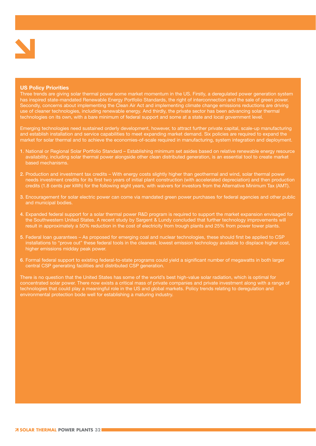

#### **US Policy Priorities**

Three trends are giving solar thermal power some market momentum in the US. Firstly, a deregulated power generation system has inspired state-mandated Renewable Energy Portfolio Standards, the right of interconnection and the sale of green power. Secondly, concerns about implementing the Clean Air Act and implementing climate change emissions reductions are driving use of cleaner technologies, including renewable energy. And thirdly, the private sector has been advancing solar thermal technologies on its own, with a bare minimum of federal support and some at a state and local government level.

Emerging technologies need sustained orderly development, however, to attract further private capital, scale-up manufacturing and establish installation and service capabilities to meet expanding market demand. Six policies are required to expand the market for solar thermal and to achieve the economies-of-scale required in manufacturing, system integration and deployment.

- **1**. National or Regional Solar Portfolio Standard Establishing minimum set asides based on relative renewable energy resource availability, including solar thermal power alongside other clean distributed generation, is an essential tool to create market based mechanisms.
- **2**. Production and investment tax credits With energy costs slightly higher than geothermal and wind, solar thermal power needs investment credits for its first two years of initial plant construction (with accelerated depreciation) and then production credits (1.8 cents per kWh) for the following eight years, with waivers for investors from the Alternative Minimum Tax (AMT).
- **3**. Encouragement for solar electric power can come via mandated green power purchases for federal agencies and other public and municipal bodies.
- **4**. Expanded federal support for a solar thermal power R&D program is required to support the market expansion envisaged for the Southwestern United States. A recent study by Sargent & Lundy concluded that further technology improvements will result in approximately a 50% reduction in the cost of electricity from trough plants and 25% from power tower plants.
- **5**. Federal loan guarantees As proposed for emerging coal and nuclear technologies, these should first be applied to CSP installations to "prove out" these federal tools in the cleanest, lowest emission technology available to displace higher cost, higher emissions midday peak power.
- **6**. Formal federal support to existing federal-to-state programs could yield a significant number of megawatts in both larger central CSP generating facilities and distributed CSP generation.

There is no question that the United States has some of the world's best high-value solar radiation, which is optimal for concentrated solar power. There now exists a critical mass of private companies and private investment along with a range of technologies that could play a meaningful role in the US and global markets. Policy trends relating to deregulation and environmental protection bode well for establishing a maturing industry.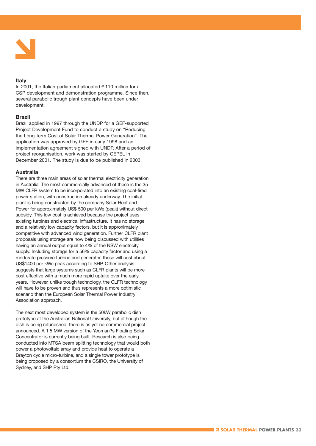

#### **Italy**

In 2001, the Italian parliament allocated  $\in$  110 million for a CSP development and demonstration programme. Since then, several parabolic trough plant concepts have been under development.

#### **Brazil**

Brazil applied in 1997 through the UNDP for a GEF-supported Project Development Fund to conduct a study on "Reducing the Long-term Cost of Solar Thermal Power Generation". The application was approved by GEF in early 1998 and an implementation agreement signed with UNDP. After a period of project reorganisation, work was started by CEPEL in December 2001. The study is due to be published in 2003.

#### **Australia**

There are three main areas of solar thermal electricity generation in Australia. The most commercially advanced of these is the 35 MW CLFR system to be incorporated into an existing coal-fired power station, with construction already underway. The initial plant is being constructed by the company Solar Heat and Power for approximately US\$ 500 per kWe (peak) without direct subsidy. This low cost is achieved because the project uses existing turbines and electrical infrastructure. It has no storage and a relatively low capacity factors, but it is approximately competitive with advanced wind generation. Further CLFR plant proposals using storage are now being discussed with utilities having an annual output equal to 4% of the NSW electricity supply. Including storage for a 56% capacity factor and using a moderate pressure turbine and generator, these will cost about US\$1400 per kWe peak according to SHP. Other analysis suggests that large systems such as CLFR plants will be more cost effective with a much more rapid uptake over the early years. However, unlike trough technology, the CLFR technology will have to be proven and thus represents a more optimistic scenario than the European Solar Thermal Power Industry Association approach.

The next most developed system is the 50kW parabolic dish prototype at the Australian National University, but although the dish is being refurbished, there is as yet no commercial project announced. A 1.5 MW version of the Yeoman?s Floating Solar Concentrator is currently being built. Research is also being conducted into MTSA beam splitting technology that would both power a photovoltaic array and provide heat to operate a Brayton cycle micro-turbine, and a single tower prototype is being proposed by a consortium the CSIRO, the University of Sydney, and SHP Pty Ltd.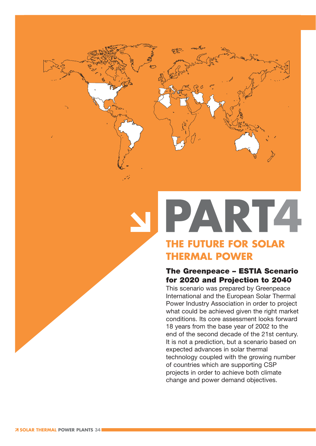

## PART4 **THE FUTURE FOR SOLAR**

### **THERMAL POWER**

#### **The Greenpeace – ESTIA Scenario for 2020 and Projection to 2040**

This scenario was prepared by Greenpeace International and the European Solar Thermal Power Industry Association in order to project what could be achieved given the right market conditions. Its core assessment looks forward 18 years from the base year of 2002 to the end of the second decade of the 21st century. It is not a prediction, but a scenario based on expected advances in solar thermal technology coupled with the growing number of countries which are supporting CSP projects in order to achieve both climate change and power demand objectives.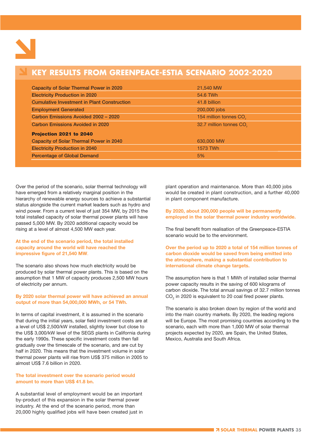

#### **KEY RESULTS FROM GREENPEACE-ESTIA SCENARIO 2002-2020**

| <b>Capacity of Solar Thermal Power in 2020</b>     | 21,540 MW                           |
|----------------------------------------------------|-------------------------------------|
| <b>Electricity Production in 2020</b>              | 54.6 TWh                            |
| <b>Cumulative Investment in Plant Construction</b> | 41.8 billion                        |
| <b>Employment Generated</b>                        | 200,000 jobs                        |
| Carbon Emissions Avoided 2002 - 2020               | 154 million tonnes CO <sub>2</sub>  |
| Carbon Emissions Avoided in 2020                   | 32.7 million tonnes CO <sub>2</sub> |
| Projection 2021 to 2040                            |                                     |
| <b>Capacity of Solar Thermal Power in 2040</b>     | 630,000 MW                          |
| <b>Electricity Production in 2040</b>              | 1573 TWh                            |
| <b>Percentage of Global Demand</b>                 | 5%                                  |
|                                                    |                                     |

Over the period of the scenario, solar thermal technology will have emerged from a relatively marginal position in the hierarchy of renewable energy sources to achieve a substantial status alongside the current market leaders such as hydro and wind power. From a current level of just 354 MW, by 2015 the total installed capacity of solar thermal power plants will have passed 5,000 MW. By 2020 additional capacity would be rising at a level of almost 4,500 MW each year.

#### **At the end of the scenario period, the total installed capacity around the world will have reached the impressive figure of 21,540 MW**.

The scenario also shows how much electricity would be produced by solar thermal power plants. This is based on the assumption that 1 MW of capacity produces 2,500 MW hours of electricity per annum.

#### **By 2020 solar thermal power will have achieved an annual output of more than 54,000,000 MWh, or 54 TWh.**

In terms of capital investment, it is assumed in the scenario that during the initial years, solar field investment costs are at a level of US\$ 2,500/kW installed, slightly lower but close to the US\$ 3,000/kW level of the SEGS plants in California during the early 1990s. These specific investment costs then fall gradually over the timescale of the scenario, and are cut by half in 2020. This means that the investment volume in solar thermal power plants will rise from US\$ 375 million in 2005 to almost US\$ 7.6 billion in 2020.

#### **The total investment over the scenario period would amount to more than US\$ 41.8 bn.**

A substantial level of employment would be an important by-product of this expansion in the solar thermal power industry. At the end of the scenario period, more than 20,000 highly qualified jobs will have been created just in plant operation and maintenance. More than 40,000 jobs would be created in plant construction, and a further 40,000 in plant component manufacture.

#### **By 2020, about 200,000 people will be permanently employed in the solar thermal power industry worldwide.**

The final benefit from realisation of the Greenpeace-ESTIA scenario would be to the environment.

**Over the period up to 2020 a total of 154 million tonnes of carbon dioxide would be saved from being emitted into the atmosphere, making a substantial contribution to international climate change targets.**

The assumption here is that 1 MWh of installed solar thermal power capacity results in the saving of 600 kilograms of carbon dioxide. The total annual savings of 32.7 million tonnes CO<sub>2</sub> in 2020 is equivalent to 20 coal fired power plants.

The scenario is also broken down by region of the world and into the main country markets. By 2020, the leading regions will be Europe. The most promising countries according to the scenario, each with more than 1,000 MW of solar thermal projects expected by 2020, are Spain, the United States, Mexico, Australia and South Africa.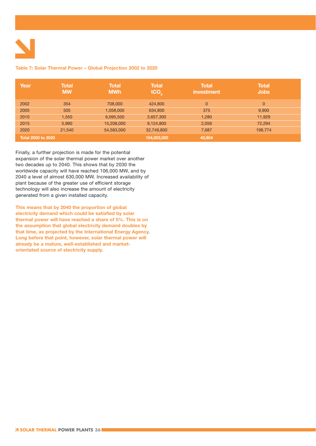

#### **Table 7: Solar Thermal Power – Global Projection 2002 to 2020**

| Year                      | <b>Total</b><br><b>MW</b> | <b>Total</b><br><b>MWh</b> | <b>Total</b><br>tCO <sub>2</sub> | <b>Total</b><br>investment | <b>Total</b><br><b>Jobs</b> |
|---------------------------|---------------------------|----------------------------|----------------------------------|----------------------------|-----------------------------|
| 2002                      | 354                       | 708,000                    | 424,800                          | $\overline{0}$             | $\overline{0}$              |
| 2005                      | 505                       | 1,058,000                  | 634,800                          | 375                        | 9,900                       |
| 2010                      | 1,550                     | 6,095,500                  | 3,657,300                        | 1,280                      | 11,929                      |
| 2015                      | 5,990                     | 15,208,000                 | 9,124,800                        | 2,056                      | 72,294                      |
| 2020                      | 21,540                    | 54,583,000                 | 32,749,800                       | 7,687                      | 198,774                     |
| <b>Total 2000 to 2020</b> |                           |                            | 154,003,500                      | 40,804                     |                             |

Finally, a further projection is made for the potential expansion of the solar thermal power market over another two decades up to 2040. This shows that by 2030 the worldwide capacity will have reached 106,000 MW, and by 2040 a level of almost 630,000 MW. Increased availability of plant because of the greater use of efficient storage technology will also increase the amount of electricity generated from a given installed capacity.

**This means that by 2040 the proportion of global electricity demand which could be satisfied by solar thermal power will have reached a share of 5%. This is on the assumption that global electricity demand doubles by that time, as projected by the International Energy Agency. Long before that point, however, solar thermal power will already be a mature, well-established and marketorientated source of electricity supply.**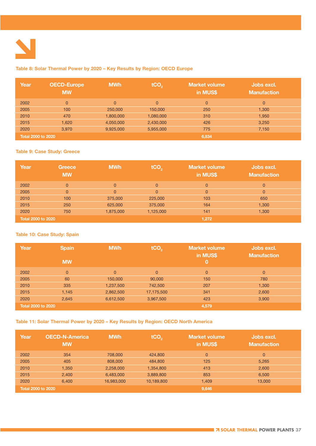

#### **Table 8: Solar Thermal Power by 2020 – Key Results by Region: OECD Europe**

| Year                      | <b>OECD-Europe</b><br><b>MW</b> | <b>MWh</b>     | tCO <sub>2</sub> | <b>Market volume</b><br>in MUS\$ | Jobs excl.<br><b>Manufaction</b> |
|---------------------------|---------------------------------|----------------|------------------|----------------------------------|----------------------------------|
| 2002                      | $\Omega$                        | $\overline{0}$ | $\overline{0}$   | $\overline{0}$                   | $\overline{0}$                   |
| 2005                      | 100                             | 250,000        | 150,000          | 250                              | 1.300                            |
| 2010                      | 470                             | 1,800,000      | 1,080,000        | 310                              | 1,950                            |
| 2015                      | 1,620                           | 4,050,000      | 2,430,000        | 426                              | 3.250                            |
| 2020                      | 3.970                           | 9,925,000      | 5,955,000        | 775                              | 7,150                            |
| <b>Total 2000 to 2020</b> |                                 |                |                  | 6,834                            |                                  |

#### **Table 9: Case Study: Greece**

| Year                      | Greece<br><b>MW</b> | <b>MWh</b>     | tCO <sub>2</sub> | <b>Market volume</b><br>in MUS\$ | Jobs excl.<br>Manufaction |
|---------------------------|---------------------|----------------|------------------|----------------------------------|---------------------------|
| 2002                      | $\Omega$            | $\Omega$       | $\Omega$         | $\overline{0}$                   | $\Omega$                  |
| 2005                      | $\mathbf{0}$        | $\overline{0}$ | $\Omega$         | $\overline{0}$                   | 0                         |
| 2010                      | 100                 | 375,000        | 225,000          | 103                              | 650                       |
| 2015                      | 250                 | 625,000        | 375,000          | 164                              | 1,300                     |
| 2020                      | 750                 | 1,875,000      | 1,125,000        | 141                              | 1,300                     |
| <b>Total 2000 to 2020</b> |                     |                |                  | 1,272                            |                           |

#### **Table 10: Case Study: Spain**

| Year                      | <b>Spain</b>   | <b>MWh</b>     | tCO <sub>2</sub> | <b>Market volume</b><br>in MUS\$ | Jobs excl.<br><b>Manufaction</b> |
|---------------------------|----------------|----------------|------------------|----------------------------------|----------------------------------|
|                           | <b>MW</b>      |                |                  | Ο,                               |                                  |
| 2002                      | $\overline{0}$ | $\overline{0}$ | $\overline{0}$   | $\overline{0}$                   | $\overline{0}$                   |
| 2005                      | 60             | 150,000        | 90,000           | 150                              | 780                              |
| 2010                      | 335            | 1,237,500      | 742,500          | 207                              | 1,300                            |
| 2015                      | 1,145          | 2,862,500      | 17,175,500       | 341                              | 2,600                            |
| 2020                      | 2,645          | 6,612,500      | 3,967,500        | 423                              | 3,900                            |
| <b>Total 2000 to 2020</b> |                |                |                  | 4,579                            |                                  |

#### **Table 11: Solar Thermal Power by 2020 – Key Results by Region: OECD North America**

| Year                      | OECD-N-America<br><b>MW</b> | <b>MWh</b> | tCO <sub>2</sub> | <b>Market volume</b><br>in MUS\$ | Jobs excl.<br><b>Manufaction</b> |
|---------------------------|-----------------------------|------------|------------------|----------------------------------|----------------------------------|
| 2002                      | 354                         | 708,000    | 424,800          | $\overline{0}$                   | $\overline{0}$                   |
| 2005                      | 405                         | 808,000    | 484,800          | 125                              | 5,265                            |
| 2010                      | 1.350                       | 2,258,000  | 1,354,800        | 413                              | 2,600                            |
| 2015                      | 2,400                       | 6,483,000  | 3,889,800        | 853                              | 6,500                            |
| 2020                      | 6.400                       | 16,983,000 | 10,189,800       | 1,409                            | 13,000                           |
| <b>Total 2000 to 2020</b> |                             |            |                  | 9,646                            |                                  |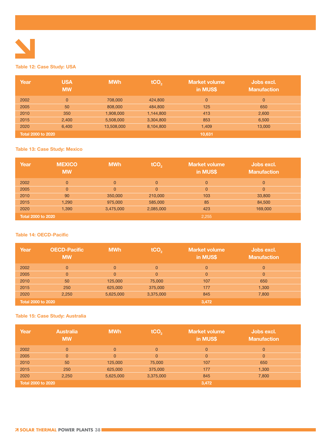

#### **Table 12: Case Study: USA**

| Year                      | <b>USA</b><br><b>MW</b> | <b>MWh</b> | tCO <sub>2</sub> | <b>Market volume</b><br>in MUS\$ | Jobs excl.<br><b>Manufaction</b> |
|---------------------------|-------------------------|------------|------------------|----------------------------------|----------------------------------|
| 2002                      | $\overline{0}$          | 708,000    | 424,800          | $\overline{0}$                   | $\overline{0}$                   |
| 2005                      | 50                      | 808,000    | 484,800          | 125                              | 650                              |
| 2010                      | 350                     | 1,908,000  | 1,144,800        | 413                              | 2,600                            |
| 2015                      | 2,400                   | 5,508,000  | 3,304,800        | 853                              | 6,500                            |
| 2020                      | 6.400                   | 13,508,000 | 8,104,800        | 1,409                            | 13,000                           |
| <b>Total 2000 to 2020</b> |                         |            |                  | 10,631                           |                                  |

#### **Table 13: Case Study: Mexico**

| Year                      | <b>MEXICO</b><br><b>MW</b> | <b>MWh</b> | tCO <sub>2</sub> | <b>Market volume</b><br>in MUS\$ | Jobs excl.<br><b>Manufaction</b> |
|---------------------------|----------------------------|------------|------------------|----------------------------------|----------------------------------|
| 2002                      | $\Omega$                   | $\Omega$   | $\Omega$         | 0                                | $\Omega$                         |
| 2005                      | $\Omega$                   | $\Omega$   | $\Omega$         | $\overline{0}$                   | $\Omega$                         |
| 2010                      | 90                         | 350,000    | 210,000          | 103                              | 33,800                           |
| 2015                      | 1,290                      | 975,000    | 585,000          | 85                               | 84,500                           |
| 2020                      | 1,390                      | 3,475,000  | 2,085,000        | 423                              | 169,000                          |
| <b>Total 2000 to 2020</b> |                            |            |                  | 2,255                            |                                  |

#### **Table 14: OECD-Pacific**

| Year                      | <b>OECD-Pacific</b><br><b>MW</b> | <b>MWh</b> | tCO <sub>2</sub> | <b>Market volume</b><br>in MUS\$ | Jobs excl.<br><b>Manufaction</b> |
|---------------------------|----------------------------------|------------|------------------|----------------------------------|----------------------------------|
| 2002                      | $\Omega$                         | $\Omega$   | $\Omega$         | $\Omega$                         | $\Omega$                         |
| 2005                      | $\Omega$                         | $\Omega$   | $\Omega$         | 0                                | $\Omega$                         |
| 2010                      | 50                               | 125,000    | 75,000           | 107                              | 650                              |
| 2015                      | 250                              | 625,000    | 375,000          | 177                              | 1,300                            |
| 2020                      | 2,250                            | 5,625,000  | 3,375,000        | 845                              | 7,800                            |
| <b>Total 2000 to 2020</b> |                                  |            |                  | 3,472                            |                                  |

#### **Table 15: Case Study: Australia**

| Year                      | <b>Australia</b><br><b>MW</b> | <b>MWh</b>     | tCO <sub>2</sub> | <b>Market volume</b><br>in MUS\$ | Jobs excl.<br><b>Manufaction</b> |
|---------------------------|-------------------------------|----------------|------------------|----------------------------------|----------------------------------|
| 2002                      | $\Omega$                      | $\overline{0}$ | $\Omega$         | $\overline{0}$                   | $\Omega$                         |
| 2005                      | $\Omega$                      | $\mathbf{0}$   | $\Omega$         | $\overline{0}$                   | $\mathbf{0}$                     |
| 2010                      | 50                            | 125,000        | 75,000           | 107                              | 650                              |
| 2015                      | 250                           | 625,000        | 375,000          | 177                              | 1,300                            |
| 2020                      | 2,250                         | 5,625,000      | 3,375,000        | 845                              | 7,800                            |
| <b>Total 2000 to 2020</b> |                               |                |                  | 3,472                            |                                  |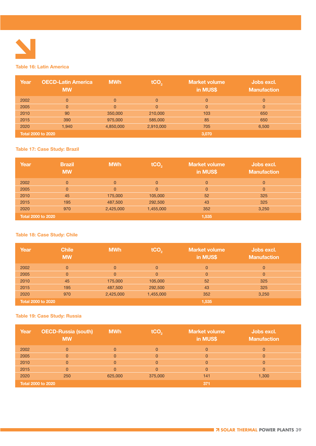

#### **Table 16: Latin America**

| Year | <b>OECD-Latin America</b><br><b>MW</b> | <b>MWh</b>     | tCO <sub>2</sub> | <b>Market volume</b><br>in MUS\$ | Jobs excl.<br><b>Manufaction</b> |
|------|----------------------------------------|----------------|------------------|----------------------------------|----------------------------------|
| 2002 | $\Omega$                               | $\overline{0}$ | $\Omega$         | $\overline{0}$                   | $\Omega$                         |
| 2005 | $\Omega$                               | $\Omega$       | $\Omega$         | $\overline{0}$                   | $\Omega$                         |
| 2010 | 90                                     | 350,000        | 210,000          | 103                              | 650                              |
| 2015 | 390                                    | 975,000        | 585,000          | 85                               | 650                              |
| 2020 | 1.940                                  | 4,850,000      | 2,910,000        | 705                              | 6,500                            |
|      | <b>Total 2000 to 2020</b>              |                |                  | 3,070                            |                                  |

#### **Table 17: Case Study: Brazil**

| Year                      | <b>Brazil</b><br><b>MW</b> | <b>MWh</b> | tCO <sub>2</sub> | <b>Market volume</b><br>in MUS\$ | Jobs excl.<br><b>Manufaction</b> |
|---------------------------|----------------------------|------------|------------------|----------------------------------|----------------------------------|
| 2002                      | $\Omega$                   | $\Omega$   | $\Omega$         | $\overline{0}$                   | $\overline{0}$                   |
| 2005                      | $\Omega$                   | 0          | $\Omega$         | $\overline{0}$                   | 0                                |
| 2010                      | 45                         | 175,000    | 105,000          | 52                               | 325                              |
| 2015                      | 195                        | 487,500    | 292,500          | 43                               | 325                              |
| 2020                      | 970                        | 2,425,000  | 1,455,000        | 352                              | 3,250                            |
| <b>Total 2000 to 2020</b> |                            |            |                  | 1,535                            |                                  |

#### **Table 18: Case Study: Chile**

| Year                      | <b>Chile</b><br><b>MW</b> | <b>MWh</b> | tCO <sub>2</sub> | <b>Market volume</b><br>in MUS\$ | Jobs excl.<br><b>Manufaction</b> |
|---------------------------|---------------------------|------------|------------------|----------------------------------|----------------------------------|
| 2002                      | $\Omega$                  | $\Omega$   | $\Omega$         | $\overline{0}$                   | $\Omega$                         |
| 2005                      | $\Omega$                  | $\Omega$   | $\Omega$         | $\overline{0}$                   | $\Omega$                         |
| 2010                      | 45                        | 175,000    | 105,000          | 52 <sub>5</sub>                  | 325                              |
| 2015                      | 195                       | 487,500    | 292,500          | 43                               | 325                              |
| 2020                      | 970                       | 2,425,000  | 1,455,000        | 352                              | 3,250                            |
| <b>Total 2000 to 2020</b> |                           |            |                  | 1,535                            |                                  |

#### **Table 19: Case Study: Russia**

| Year | <b>OECD-Russia (south)</b><br><b>MW</b> | <b>MWh</b> | tCO <sub>2</sub> | <b>Market volume</b><br>in MUS\$ | Jobs excl.<br><b>Manufaction</b> |
|------|-----------------------------------------|------------|------------------|----------------------------------|----------------------------------|
| 2002 | $\Omega$                                | $\Omega$   | $\Omega$         | 0                                | $\Omega$                         |
| 2005 | $\Omega$                                | 0          | $\Omega$         | 0                                | $\Omega$                         |
| 2010 | $\Omega$                                | 0          | $\Omega$         | 0                                | 0                                |
| 2015 | 0                                       | 0          | $\Omega$         | 0                                | 0                                |
| 2020 | 250                                     | 625,000    | 375,000          | 141                              | 1,300                            |
|      | Total 2000 to 2020                      |            |                  | 371                              |                                  |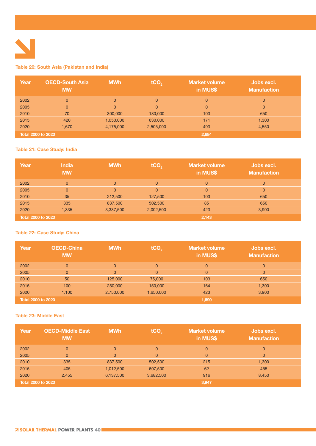

#### **Table 20: South Asia (Pakistan and India)**

| Year                      | <b>OECD-South Asia</b><br><b>MW</b> | <b>MWh</b> | tCO <sub>2</sub> | <b>Market volume</b><br>in MUS\$ | Jobs excl.<br><b>Manufaction</b> |
|---------------------------|-------------------------------------|------------|------------------|----------------------------------|----------------------------------|
| 2002                      | $\Omega$                            | $\Omega$   | $\Omega$         | $\overline{0}$                   | $\Omega$                         |
| 2005                      | $\Omega$                            | $\Omega$   | $\Omega$         | $\overline{0}$                   | $\Omega$                         |
| 2010                      | 70                                  | 300,000    | 180,000          | 103                              | 650                              |
| 2015                      | 420                                 | 1,050,000  | 630,000          | 171                              | 1,300                            |
| 2020                      | 1,670                               | 4,175,000  | 2,505,000        | 493                              | 4,550                            |
| <b>Total 2000 to 2020</b> |                                     |            |                  | 2,684                            |                                  |

#### **Table 21: Case Study: India**

| Year                      | <b>India</b><br><b>MW</b> | <b>MWh</b> | tCO <sub>2</sub> | <b>Market volume</b><br>in MUS\$ | Jobs excl.<br><b>Manufaction</b> |
|---------------------------|---------------------------|------------|------------------|----------------------------------|----------------------------------|
| 2002                      | $\mathbf{0}$              | $\Omega$   | $\Omega$         | $\overline{0}$                   | $\Omega$                         |
| 2005                      | $\Omega$                  | $\Omega$   | $\Omega$         | $\overline{0}$                   | $\Omega$                         |
| 2010                      | 35                        | 212,500    | 127,500          | 103                              | 650                              |
| 2015                      | 335                       | 837,500    | 502,500          | 85                               | 650                              |
| 2020                      | 1,335                     | 3,337,500  | 2,002,500        | 423                              | 3,900                            |
| <b>Total 2000 to 2020</b> |                           |            |                  | 2,143                            |                                  |

#### **Table 22: Case Study: China**

| Year               | <b>OECD-China</b><br><b>MW</b> | <b>MWh</b>     | tCO <sub>2</sub> | <b>Market volume</b><br>in MUS\$ | Jobs excl.<br><b>Manufaction</b> |
|--------------------|--------------------------------|----------------|------------------|----------------------------------|----------------------------------|
| 2002               | $\Omega$                       | $\Omega$       | $\Omega$         | $\overline{0}$                   | $\Omega$                         |
| 2005               | $\Omega$                       | $\overline{0}$ | $\overline{0}$   | $\overline{0}$                   | $\mathbf{0}$                     |
| 2010               | 50                             | 125,000        | 75,000           | 103                              | 650                              |
| 2015               | 100                            | 250,000        | 150,000          | 164                              | 1,300                            |
| 2020               | 1,100                          | 2,750,000      | 1,650,000        | 423                              | 3,900                            |
| Total 2000 to 2020 |                                |                | 1,690            |                                  |                                  |

#### **Table 23: Middle East**

| Year                      | <b>OECD-Middle East</b><br><b>MW</b> | <b>MWh</b>     | tCO <sub>2</sub> | <b>Market volume</b><br>in MUS\$ | Jobs excl.<br><b>Manufaction</b> |
|---------------------------|--------------------------------------|----------------|------------------|----------------------------------|----------------------------------|
| 2002                      | $\Omega$                             | $\overline{0}$ | $\Omega$         | $\overline{0}$                   | $\Omega$                         |
| 2005                      | $\Omega$                             | $\mathbf{0}$   | $\Omega$         | $\overline{0}$                   | $\mathbf{0}$                     |
| 2010                      | 335                                  | 837,500        | 502,500          | 215                              | 1,300                            |
| 2015                      | 405                                  | 1,012,500      | 607,500          | 62                               | 455                              |
| 2020                      | 2,455                                | 6,137,500      | 3,682,500        | 916                              | 8,450                            |
| <b>Total 2000 to 2020</b> |                                      |                |                  | 3,947                            |                                  |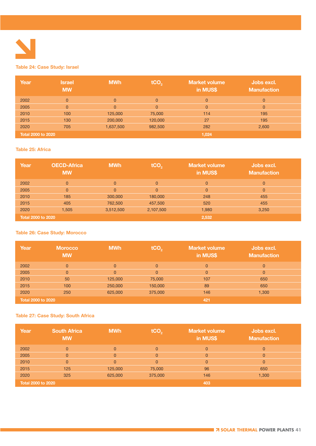

#### **Table 24: Case Study: Israel**

| Year                      | <b>Israel</b><br><b>MW</b> | <b>MWh</b>     | tCO <sub>2</sub> | Market volume<br>in MUS\$ | Jobs excl.<br><b>Manufaction</b> |
|---------------------------|----------------------------|----------------|------------------|---------------------------|----------------------------------|
| 2002                      | $\Omega$                   | $\Omega$       | $\Omega$         | $\mathbf{0}$              | $\overline{0}$                   |
| 2005                      | $\overline{0}$             | $\overline{0}$ | $\overline{0}$   | $\overline{0}$            | $\overline{0}$                   |
| 2010                      | 100                        | 125,000        | 75,000           | 114                       | 195                              |
| 2015                      | 130                        | 200,000        | 120,000          | 27                        | 195                              |
| 2020                      | 705                        | 1,637,500      | 982,500          | 282                       | 2,600                            |
| <b>Total 2000 to 2020</b> |                            |                | 1,024            |                           |                                  |

#### **Table 25: Africa**

| Year                      | <b>OECD-Africa</b><br><b>MW</b> | <b>MWh</b>     | tCO <sub>2</sub> | <b>Market volume</b><br>in MUS\$ | Jobs excl.<br><b>Manufaction</b> |
|---------------------------|---------------------------------|----------------|------------------|----------------------------------|----------------------------------|
| 2002                      | $\Omega$                        | $\overline{0}$ | $\Omega$         | $\mathbf{0}$                     | $\mathbf{0}$                     |
| 2005                      | $\overline{0}$                  | $\Omega$       | $\overline{0}$   | $\overline{0}$                   | $\overline{0}$                   |
| 2010                      | 185                             | 300,000        | 180,000          | 248                              | 455                              |
| 2015                      | 405                             | 762,500        | 457,500          | 520                              | 455                              |
| 2020                      | 1,505                           | 3,512,500      | 2,107,500        | 1,980                            | 3,250                            |
| <b>Total 2000 to 2020</b> |                                 |                |                  | 2,532                            |                                  |

#### **Table 26: Case Study: Morocco**

| Year                      | <b>Morocco</b><br><b>MW</b> | <b>MWh</b>     | tCO <sub>2</sub> | <b>Market volume</b><br>in MUS\$ | Jobs excl.<br><b>Manufaction</b> |
|---------------------------|-----------------------------|----------------|------------------|----------------------------------|----------------------------------|
| 2002                      | $\overline{0}$              | $\overline{0}$ | $\Omega$         | $\overline{0}$                   | $\overline{0}$                   |
| 2005                      | $\overline{0}$              | $\overline{0}$ | $\Omega$         | $\overline{0}$                   | $\overline{0}$                   |
| 2010                      | 50                          | 125,000        | 75,000           | 107                              | 650                              |
| 2015                      | 100                         | 250,000        | 150,000          | 89                               | 650                              |
| 2020                      | 250                         | 625,000        | 375,000          | 146                              | 1,300                            |
| <b>Total 2000 to 2020</b> |                             |                |                  | 421                              |                                  |

#### **Table 27: Case Study: South Africa**

| Year                      | <b>South Africa</b><br><b>MW</b> | <b>MWh</b>     | tCO <sub>2</sub> | <b>Market volume</b><br>in MUS\$ | Jobs excl.<br><b>Manufaction</b> |
|---------------------------|----------------------------------|----------------|------------------|----------------------------------|----------------------------------|
| 2002                      | $\Omega$                         | $\Omega$       | $\Omega$         | $\overline{0}$                   | $\Omega$                         |
| 2005                      | $\Omega$                         | $\overline{0}$ | $\Omega$         | $\overline{0}$                   | $\Omega$                         |
| 2010                      | $\Omega$                         | $\Omega$       | $\Omega$         | $\overline{0}$                   | $\Omega$                         |
| 2015                      | 125                              | 125,000        | 75,000           | 96                               | 650                              |
| 2020                      | 325                              | 625,000        | 375,000          | 146                              | 1,300                            |
| <b>Total 2000 to 2020</b> |                                  |                |                  | 403                              |                                  |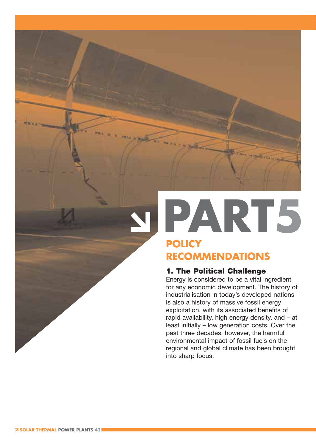### **PART5 POLICY RECOMMENDATIONS**

#### **1. The Political Challenge**

Energy is considered to be a vital ingredient for any economic development. The history of industrialisation in today's developed nations is also a history of massive fossil energy exploitation, with its associated benefits of rapid availability, high energy density, and – at least initially – low generation costs. Over the past three decades, however, the harmful environmental impact of fossil fuels on the regional and global climate has been brought into sharp focus.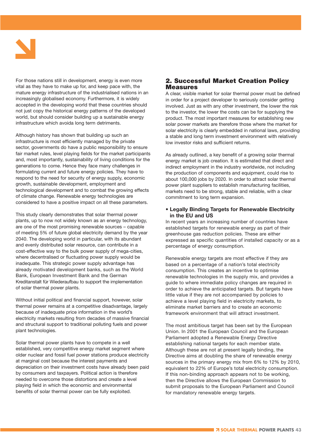

For those nations still in development, energy is even more vital as they have to make up for, and keep pace with, the mature energy infrastructure of the industrialised nations in an increasingly globalised economy. Furthermore, it is widely accepted in the developing world that these countries should not just copy the historical energy patterns of the developed world, but should consider building up a sustainable energy infrastructure which avoida long term detriments.

Although history has shown that building up such an infrastructure is most efficiently managed by the private sector, governments do have a public responsibility to ensure fair market rules, level playing fields for the market participants and, most importantly, sustainability of living conditions for the generations to come. Hence they face many challenges in formulating current and future energy policies. They have to respond to the need for security of energy supply, economic growth, sustainable development, employment and technological development and to combat the growing effects of climate change. Renewable energy technologies are considered to have a positive impact on all these parameters.

This study clearly demonstrates that solar thermal power plants, up to now not widely known as an energy technology, are one of the most promising renewable sources – capable of meeting 5% of future global electricity demand by the year 2040. The developing world in particular, with its abundant and evenly distributed solar resource, can contribute in a cost-effective way to the bulk power supply of mega-cities, where decentralised or fluctuating power supply would be inadequate. This strategic power supply advantage has already motivated development banks, such as the World Bank, European Investment Bank and the German Kreditanstalt für Wiederaufbau to support the implementation of solar thermal power plants.

Without initial political and financial support, however, solar thermal power remains at a competitive disadvantage, largely because of inadequate price information in the world's electricity markets resulting from decades of massive financial and structural support to traditional polluting fuels and power plant technologies.

Solar thermal power plants have to compete in a well established, very competitive energy market segment where older nuclear and fossil fuel power stations produce electricity at marginal cost because the interest payments and depreciation on their investment costs have already been paid by consumers and taxpayers. Political action is therefore needed to overcome those distortions and create a level playing field in which the economic and environmental benefits of solar thermal power can be fully exploited.

#### **2. Successful Market Creation Policy Measures**

A clear, visible market for solar thermal power must be defined in order for a project developer to seriously consider getting involved. Just as with any other investment, the lower the risk to the investor, the lower the costs can be for supplying the product. The most important measures for establishing new solar power markets are therefore those where the market for solar electricity is clearly embedded in national laws, providing a stable and long term investment environment with relatively low investor risks and sufficient returns.

As already outlined, a key benefit of a growing solar thermal energy market is job creation. It is estimated that direct and indirect employment in the industry worldwide, not including the production of components and equipment, could rise to about 100,000 jobs by 2020. In order to attract solar thermal power plant suppliers to establish manufacturing facilities, markets need to be strong, stable and reliable, with a clear commitment to long term expansion.

#### **• Legally Binding Targets for Renewable Electricity in the EU and US**

In recent years an increasing number of countries have established targets for renewable energy as part of their greenhouse gas reduction policies. These are either expressed as specific quantities of installed capacity or as a percentage of energy consumption.

Renewable energy targets are most effective if they are based on a percentage of a nation's total electricity consumption. This creates an incentive to optimise renewable technologies in the supply mix, and provides a guide to where immediate policy changes are required in order to achieve the anticipated targets. But targets have little value if they are not accompanied by policies to achieve a level playing field in electricity markets, to eliminate market barriers and to create an economic framework environment that will attract investment.

The most ambitious target has been set by the European Union. In 2001 the European Council and the European Parliament adopted a Renewable Energy Directive establishing national targets for each member state. Although these are not at present legally binding, the Directive aims at doubling the share of renewable energy sources in the primary energy mix from 6% to 12% by 2010, equivalent to 22% of Europe's total electricity consumption. If this non-binding approach appears not to be working, then the Directive allows the European Commission to submit proposals to the European Parliament and Council for mandatory renewable energy targets.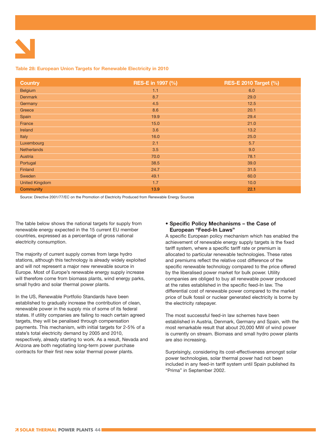#### **Table 28: European Union Targets for Renewable Electricity in 2010**

| <b>Country</b>        | <b>RES-E in 1997 (%)</b> | <b>RES-E 2010 Target (%)</b> |
|-----------------------|--------------------------|------------------------------|
| <b>Belgium</b>        | 1.1                      | 6.0                          |
| <b>Denmark</b>        | 8.7                      | 29.0                         |
| Germany               | 4.5                      | 12.5                         |
| Greece                | 8.6                      | 20.1                         |
| Spain                 | 19.9                     | 29.4                         |
| France                | 15.0                     | 21.0                         |
| Ireland               | 3.6                      | 13.2                         |
| Italy                 | 16.0                     | 25.0                         |
| Luxembourg            | 2.1                      | 5.7                          |
| <b>Netherlands</b>    | 3.5                      | 9.0                          |
| Austria               | 70.0                     | 78.1                         |
| Portugal              | 38.5                     | 39.0                         |
| Finland               | 24.7                     | 31.5                         |
| Sweden                | 49.1                     | 60.0                         |
| <b>United Kingdom</b> | 1.7                      | 10.0                         |
| <b>Community</b>      | 13.9                     | 22.1                         |

Source: Directive 2001/77/EC on the Promotion of Electricity Produced from Renewable Energy Sources

The table below shows the national targets for supply from renewable energy expected in the 15 current EU member countries, expressed as a percentage of gross national electricity consumption.

The majority of current supply comes from large hydro stations, although this technology is already widely exploited and will not represent a major new renewable source in Europe. Most of Europe's renewable energy supply increase will therefore come from biomass plants, wind energy parks, small hydro and solar thermal power plants.

In the US, Renewable Portfolio Standards have been established to gradually increase the contribution of clean, renewable power in the supply mix of some of its federal states. If utility companies are failing to reach certain agreed targets, they will be penalised through compensation payments. This mechanism, with initial targets for 2-5% of a state's total electricity demand by 2005 and 2010, respectively, already starting to work. As a result, Nevada and Arizona are both negotiating long-term power purchase contracts for their first new solar thermal power plants.

#### **• Specific Policy Mechanisms – the Case of European "Feed-In Laws"**

A specific European policy mechanism which has enabled the achievement of renewable energy supply targets is the fixed tariff system, where a specific tariff rate or premium is allocated to particular renewable technologies. These rates and premiums reflect the relative cost difference of the specific renewable technology compared to the price offered by the liberalised power market for bulk power. Utility companies are obliged to buy all renewable power produced at the rates established in the specific feed-In law. The differential cost of renewable power compared to the market price of bulk fossil or nuclear generated electricity is borne by the electricity ratepayer.

The most successful feed-in law schemes have been established in Austria, Denmark, Germany and Spain, with the most remarkable result that about 20,000 MW of wind power is currently on stream. Biomass and small hydro power plants are also increasing.

Surprisingly, considering its cost-effectiveness amongst solar power technologies, solar thermal power had not been included in any feed-in tariff system until Spain published its "Prima" in September 2002.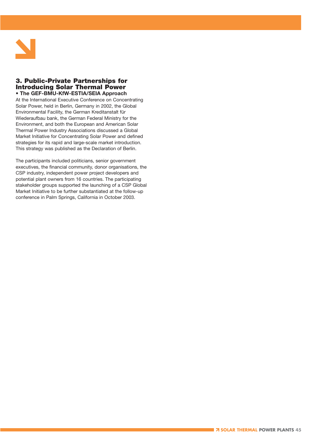

#### **3. Public-Private Partnerships for Introducing Solar Thermal Power • The GEF-BMU-KfW-ESTIA/SEIA Approach**

At the International Executive Conference on Concentrating Solar Power, held in Berlin, Germany in 2002, the Global Environmental Facility, the German Kreditanstalt für Wiederaufbau bank, the German Federal Ministry for the Environment, and both the European and American Solar Thermal Power Industry Associations discussed a Global Market Initiative for Concentrating Solar Power and defined strategies for its rapid and large-scale market introduction. This strategy was published as the Declaration of Berlin.

The participants included politicians, senior government executives, the financial community, donor organisations, the CSP industry, independent power project developers and potential plant owners from 16 countries. The participating stakeholder groups supported the launching of a CSP Global Market Initiative to be further substantiated at the follow-up conference in Palm Springs, California in October 2003.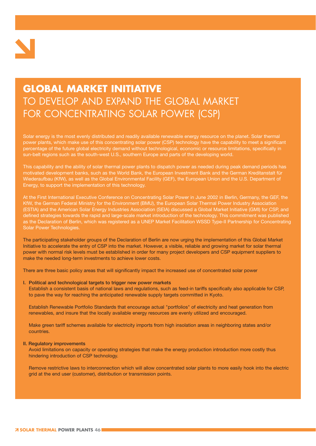

### **GLOBAL MARKET INITIATIVE** TO DEVELOP AND EXPAND THE GLOBAL MARKET FOR CONCENTRATING SOLAR POWER (CSP)

Solar energy is the most evenly distributed and readily available renewable energy resource on the planet. Solar thermal power plants, which make use of this concentrating solar power (CSP) technology have the capability to meet a significant percentage of the future global electricity demand without technological, economic or resource limitations, specifically in sun-belt regions such as the south-west U.S., southern Europe and parts of the developing world.

This capability and the ability of solar thermal power plants to dispatch power as needed during peak demand periods has motivated development banks, such as the World Bank, the European Investment Bank and the German Kreditanstalt für Wiederaufbau (KfW), as well as the Global Environmental Facility (GEF), the European Union and the U.S. Department of Energy, to support the implementation of this technology.

At the First International Executive Conference on Concentrating Solar Power in June 2002 in Berlin, Germany, the GEF, the KfW, the German Federal Ministry for the Environment (BMU), the European Solar Thermal Power Industry Association (ESTIA) and the American Solar Energy Industries Association (SEIA) discussed a Global Market Initiative (GMI) for CSP, and defined strategies towards the rapid and large-scale market introduction of the technology. This commitment was published as the Declaration of Berlin, which was registered as a UNEP Market Facilitation WSSD Type-II Partnership for Concentrating Solar Power Technologies.

The participating stakeholder groups of the Declaration of Berlin are now urging the implementation of this Global Market Initiative to accelerate the entry of CSP into the market. However, a visible, reliable and growing market for solar thermal power with normal risk levels must be established in order for many project developers and CSP equipment suppliers to make the needed long-term investments to achieve lower costs.

There are three basic policy areas that will significantly impact the increased use of concentrated solar power

#### **I. Political and technological targets to trigger new power markets**

Establish a consistent basis of national laws and regulations, such as feed-in tariffs specifically also applicable for CSP, to pave the way for reaching the anticipated renewable supply targets committed in Kyoto.

Establish Renewable Portfolio Standards that encourage actual "portfolios" of electricity and heat generation from renewables, and insure that the locally available energy resources are evenly utilized and encouraged.

Make green tariff schemes available for electricity imports from high insolation areas in neighboring states and/or countries.

#### **II. Regulatory improvements**

Avoid limitations on capacity or operating strategies that make the energy production introduction more costly thus hindering introduction of CSP technology.

Remove restrictive laws to interconnection which will allow concentrated solar plants to more easily hook into the electric grid at the end user (customer), distribution or transmission points.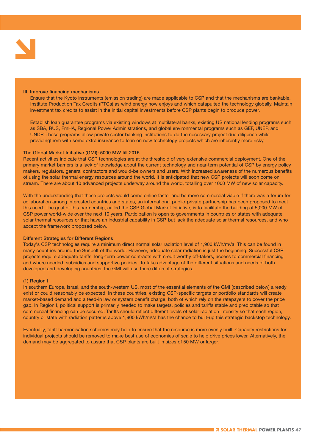

#### **III. Improve financing mechanisms**

Ensure that the Kyoto instruments (emission trading) are made applicable to CSP and that the mechanisms are bankable. Institute Production Tax Credits (PTCs) as wind energy now enjoys and which catapulted the technology globally. Maintain investment tax credits to assist in the initial capital investments before CSP plants begin to produce power.

Establish loan guarantee programs via existing windows at multilateral banks, existing US national lending programs such as SBA, RUS, FmHA, Regional Power Administrations, and global environmental programs such as GEF, UNEP, and UNDP. These programs allow private sector banking institutions to do the necessary project due diligence while providingthem with some extra insurance to loan on new technology projects which are inherently more risky.

#### **The Global Market Initiative (GMI): 5000 MW till 2015**

Recent activities indicate that CSP technologies are at the threshold of very extensive commercial deployment. One of the primary market barriers is a lack of knowledge about the current technology and near-term potential of CSP by energy policy makers, regulators, general contractors and would-be owners and users. With increased awareness of the numerous benefits of using the solar thermal energy resources around the world, it is anticipated that new CSP projects will soon come on stream. There are about 10 advanced projects underway around the world, totalling over 1000 MW of new solar capacity.

With the understanding that these projects would come online faster and be more commercial viable if there was a forum for collaboration among interested countries and states, an international public-private partnership has been proposed to meet this need. The goal of this partnership, called the CSP Global Market Initiative, is to facilitate the building of 5,000 MW of CSP power world-wide over the next 10 years. Participation is open to governments in countries or states with adequate solar thermal resources or that have an industrial capability in CSP, but lack the adequate solar thermal resources, and who accept the framework proposed below.

#### **Different Strategies for Different Regions**

Today's CSP technologies require a minimum direct normal solar radiation level of 1,900 kWh/m<sup>2</sup>/a. This can be found in many countries around the Sunbelt of the world. However, adequate solar radiation is just the beginning. Successful CSP projects require adequate tariffs, long-term power contracts with credit worthy off-takers, access to commercial financing and where needed, subsidies and supportive policies. To take advantage of the different situations and needs of both developed and developing countries, the GMI will use three different strategies.

#### **(1) Region I**

In southern Europe, Israel, and the south-western US, most of the essential elements of the GMI (described below) already exist or could reasonably be expected. In these countries, existing CSP-specific targets or portfolio standards will create market-based demand and a feed-in law or system benefit charge, both of which rely on the ratepayers to cover the price gap. In Region I, political support is primarily needed to make targets, policies and tariffs stable and predictable so that commercial financing can be secured. Tariffs should reflect different levels of solar radiation intensity so that each region, country or state with radiation patterns above 1,900 kWh/m<sup>2</sup>/a has the chance to built-up this strategic backstop technology.

Eventually, tariff harmonisation schemes may help to ensure that the resource is more evenly built. Capacity restrictions for individual projects should be removed to make best use of economies of scale to help drive prices lower. Alternatively, the demand may be aggregated to assure that CSP plants are built in sizes of 50 MW or larger.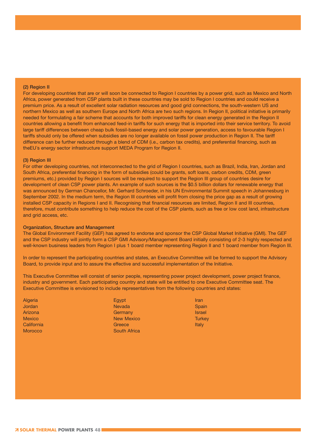#### **(2) Region II**

For developing countries that are or will soon be connected to Region I countries by a power grid, such as Mexico and North Africa, power generated from CSP plants built in these countries may be sold to Region I countries and could receive a premium price. As a result of excellent solar radiation resources and good grid connections, the south-western US and northern Mexico as well as southern Europe and North Africa are two such regions. In Region II, political initiative is primarily needed for formulating a fair scheme that accounts for both improved tariffs for clean energy generated in the Region II countries allowing a benefit from enhanced feed-in tariffs for such energy that is imported into their service territory. To avoid large tariff differences between cheap bulk fossil-based energy and solar power generation, access to favourable Region I tariffs should only be offered when subsidies are no longer available on fossil power production in Region II. The tariff difference can be further reduced through a blend of CDM (i.e., carbon tax credits), and preferential financing, such as theEU´s energy sector infrastructure support MEDA Program for Region II.

#### **(3) Region III**

For other developing countries, not interconnected to the grid of Region I countries, such as Brazil, India, Iran, Jordan and South Africa, preferential financing in the form of subsidies (could be grants, soft loans, carbon credits, CDM, green premiums, etc.) provided by Region I sources will be required to support the Region III group of countries desire for development of clean CSP power plants. An example of such sources is the \$0.5 billion dollars for renewable energy that was announced by German Chancellor, Mr. Gerhard Schroeder, in his UN Environmental Summit speech in Johannesburg in September 2002. In the medium term, the Region III countries will profit from closing the price gap as a result of growing installed CSP capacity in Regions I and II. Recognising that financial resources are limited, Region II and III countries, therefore, must contribute something to help reduce the cost of the CSP plants, such as free or low cost land, infrastructure and grid access, etc.

#### **Organization, Structure and Management**

The Global Environment Facility (GEF) has agreed to endorse and sponsor the CSP Global Market Initiative (GMI). The GEF and the CSP industry will jointly form a CSP GMI Advisory/Management Board initially consisting of 2-3 highly respected and well-known business leaders from Region I plus 1 board member representing Region II and 1 board member from Region III.

In order to represent the participating countries and states, an Executive Committee will be formed to support the Advisory Board, to provide input and to assure the effective and successful implementation of the Initiative.

This Executive Committee will consist of senior people, representing power project development, power project finance, industry and government. Each participating country and state will be entitled to one Executive Committee seat. The Executive Committee is envisioned to include representatives from the following countries and states:

Algeria Jordan Arizona Mexico California **Morocco** 

Egypt Nevada **Germany** New Mexico **Greece** South Africa

Iran **Spain** Israel **Turkey** Italy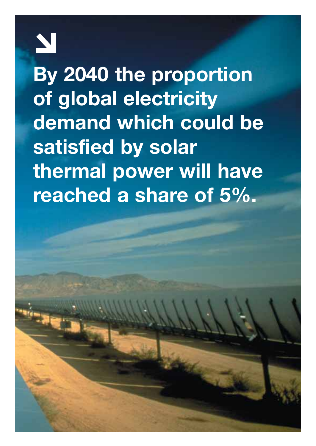

**By 2040 the proportion of global electricity demand which could be satisfied by solar thermal power will have reached a share of 5%.**